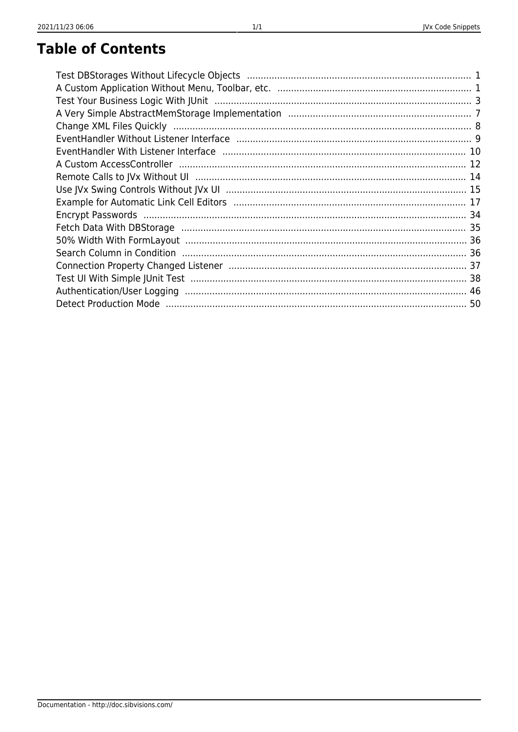## JVx Code Snippets

# **Table of Contents**

| Test Your Business Logic With JUnit (1111) 1999) 1999 Test Your Business Logic With JUnit (1999) 1999 |  |
|-------------------------------------------------------------------------------------------------------|--|
|                                                                                                       |  |
|                                                                                                       |  |
|                                                                                                       |  |
|                                                                                                       |  |
|                                                                                                       |  |
|                                                                                                       |  |
|                                                                                                       |  |
|                                                                                                       |  |
|                                                                                                       |  |
|                                                                                                       |  |
|                                                                                                       |  |
|                                                                                                       |  |
|                                                                                                       |  |
|                                                                                                       |  |
|                                                                                                       |  |
|                                                                                                       |  |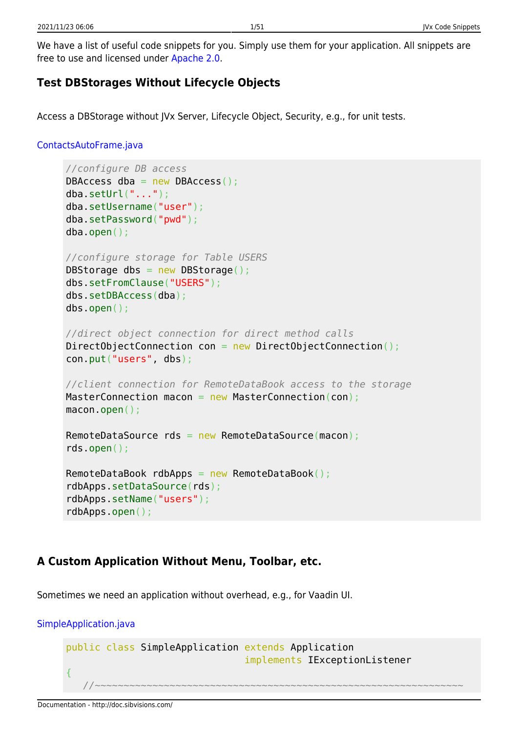# <span id="page-1-0"></span>**Test DBStorages Without Lifecycle Objects**

Access a DBStorage without JVx Server, Lifecycle Object, Security, e.g., for unit tests.

### [ContactsAutoFrame.java](http://doc.sibvisions.com/_export/code/jvx/code_snippets?codeblock=0)

```
//configure DB access
DBAccess dba = new DBAccess();
dba.setUrl("...");
dba.setUsername("user");
dba.setPassword("pwd");
dba.open();
//configure storage for Table USERS
DBStorage dbs = new DBStorage();
dbs.setFromClause("USERS");
dbs.setDBAccess(dba);
dbs.open();
//direct object connection for direct method calls
DirectObjectConnection con = new DirectObjectConnection();
con.put("users", dbs);
//client connection for RemoteDataBook access to the storage
MasterConnection macon = new MasterConnection(con);
macon.open();
RemoteDataSource rds = new RemoteDataSource(macon);
rds.open();
RemoteDataBook rdbApps = new RemoteDataBook();
rdbApps.setDataSource(rds);
rdbApps.setName("users");
rdbApps.open();
```
# <span id="page-1-1"></span>**A Custom Application Without Menu, Toolbar, etc.**

Sometimes we need an application without overhead, e.g., for Vaadin UI.

### [SimpleApplication.java](http://doc.sibvisions.com/_export/code/jvx/code_snippets?codeblock=1)

```
public class SimpleApplication extends Application
                                implements IExceptionListener
{
 //~~~~~~~~~~~~~~~~~~~~~~~~~~~~~~~~~~~~~~~~~~~~~~~~~~~~~~~~~~~~~~~~
```
#### Documentation - http://doc.sibvisions.com/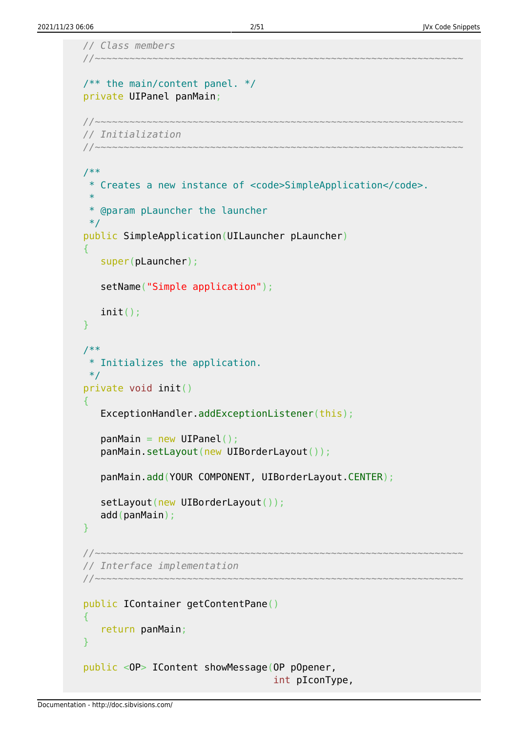```
 // Class members
 //~~~~~~~~~~~~~~~~~~~~~~~~~~~~~~~~~~~~~~~~~~~~~~~~~~~~~~~~~~~~~~~~
/** the main/content panel. */ private UIPanel panMain;
 //~~~~~~~~~~~~~~~~~~~~~~~~~~~~~~~~~~~~~~~~~~~~~~~~~~~~~~~~~~~~~~~~
 // Initialization
 //~~~~~~~~~~~~~~~~~~~~~~~~~~~~~~~~~~~~~~~~~~~~~~~~~~~~~~~~~~~~~~~~
 /**
  * Creates a new instance of <code>SimpleApplication</code>.
  *
  * @param pLauncher the launcher
 */
 public SimpleApplication(UILauncher pLauncher)
 {
    super(pLauncher);
    setName("Simple application");
    init();
 }
 /**
 * Initializes the application.
  */
 private void init()
\mathcal{L} ExceptionHandler.addExceptionListener(this);
   panMain = new UIPanel();
    panMain.setLayout(new UIBorderLayout());
    panMain.add(YOUR COMPONENT, UIBorderLayout.CENTER);
   setLayout(new UIBorderLayout());
    add(panMain);
 }
 //~~~~~~~~~~~~~~~~~~~~~~~~~~~~~~~~~~~~~~~~~~~~~~~~~~~~~~~~~~~~~~~~
 // Interface implementation
 //~~~~~~~~~~~~~~~~~~~~~~~~~~~~~~~~~~~~~~~~~~~~~~~~~~~~~~~~~~~~~~~~
 public IContainer getContentPane()
\mathcal{L} return panMain;
 }
 public <OP> IContent showMessage(OP pOpener,
                                        int pIconType,
```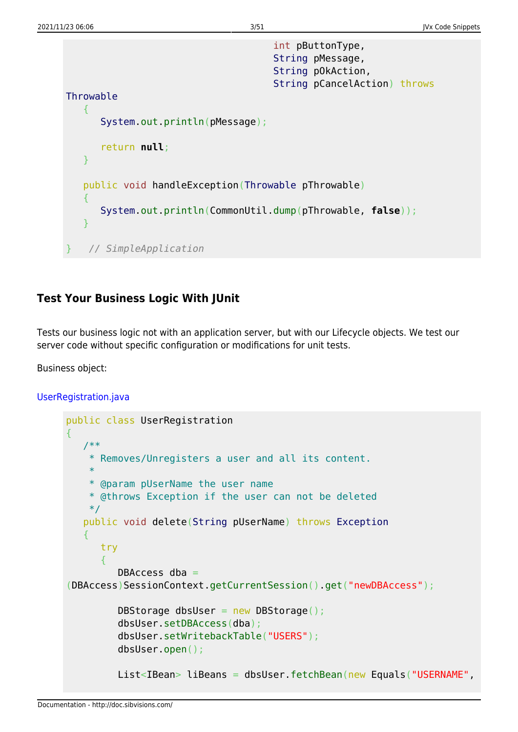```
 int pButtonType,
                                      String pMessage,
                                      String pOkAction,
                                      String pCancelAction) throws
Throwable
    {
       System.out.println(pMessage);
       return null;
    }
    public void handleException(Throwable pThrowable)
    {
       System.out.println(CommonUtil.dump(pThrowable, false));
    }
 } // SimpleApplication
```
## <span id="page-3-0"></span>**Test Your Business Logic With JUnit**

Tests our business logic not with an application server, but with our Lifecycle objects. We test our server code without specific configuration or modifications for unit tests.

Business object:

```
UserRegistration.java
```

```
public class UserRegistration
{
    /**
     * Removes/Unregisters a user and all its content.
     *
     * @param pUserName the user name
     * @throws Exception if the user can not be deleted
     */
    public void delete(String pUserName) throws Exception
    {
       try
       {
         DBAccess dba =(DBAccess)SessionContext.getCurrentSession().get("newDBAccess");
         DBStorage dbsUser = new DBStorage();
          dbsUser.setDBAccess(dba);
          dbsUser.setWritebackTable("USERS");
          dbsUser.open();
         List<IBean> liBeans = dbsUser.fetchBean(new Equals("USERNAME",
```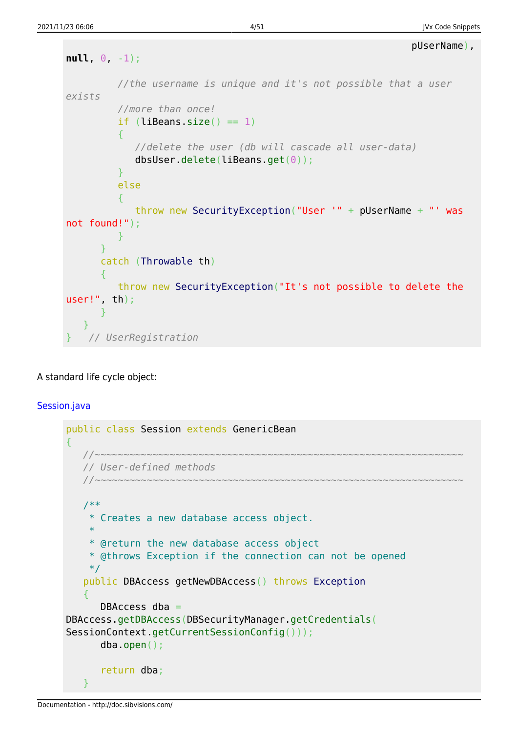```
 pUserName),
null, 0, -1);
          //the username is unique and it's not possible that a user
exists
          //more than once!
         if (liBeans.size() == 1) {
             //delete the user (db will cascade all user-data)
             dbsUser.delete(liBeans.get(0));
 }
          else
 {
             throw new SecurityException("User '" + pUserName + "' was
not found!");
         }
       }
      catch (Throwable th)
\overline{\phantom{a}} throw new SecurityException("It's not possible to delete the
user!", th);
       }
    }
   } // UserRegistration
```
### A standard life cycle object:

### [Session.java](http://doc.sibvisions.com/_export/code/jvx/code_snippets?codeblock=3)

```
public class Session extends GenericBean
{
    //~~~~~~~~~~~~~~~~~~~~~~~~~~~~~~~~~~~~~~~~~~~~~~~~~~~~~~~~~~~~~~~~
    // User-defined methods
    //~~~~~~~~~~~~~~~~~~~~~~~~~~~~~~~~~~~~~~~~~~~~~~~~~~~~~~~~~~~~~~~~
    /**
     * Creates a new database access object.
     *
     * @return the new database access object
     * @throws Exception if the connection can not be opened
     */
    public DBAccess getNewDBAccess() throws Exception
   \left\{ \right.DBAccess dba =DBAccess.getDBAccess(DBSecurityManager.getCredentials(
SessionContext.getCurrentSessionConfig()));
        dba.open();
        return dba;
    }
```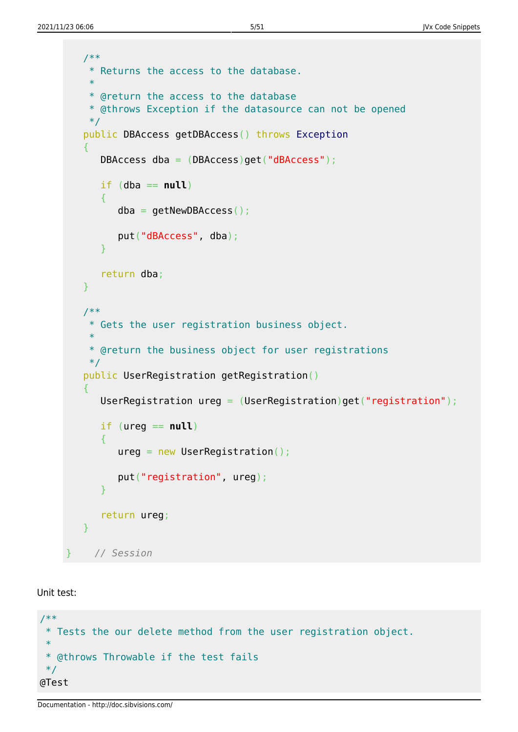```
 /**
     * Returns the access to the database.
 *
     * @return the access to the database
    * @throws Exception if the datasource can not be opened
    */
    public DBAccess getDBAccess() throws Exception
   \mathcal{L} DBAccess dba = (DBAccess)get("dBAccess");
      if (dba == null)
\overline{\phantom{a}}dba = getNewDBAccess();
          put("dBAccess", dba);
       }
      return dba;
   }
    /**
     * Gets the user registration business object.
 *
    * @return the business object for user registrations
    */
    public UserRegistration getRegistration()
    {
       UserRegistration ureg = (UserRegistration)get("registration");
      if (ureq == null) {
         ureq = new UserRegion();
          put("registration", ureg);
       }
       return ureg;
   }
     } // Session
```
Unit test:

```
/**
  * Tests the our delete method from the user registration object.
 *
  * @throws Throwable if the test fails
  */
@Test
```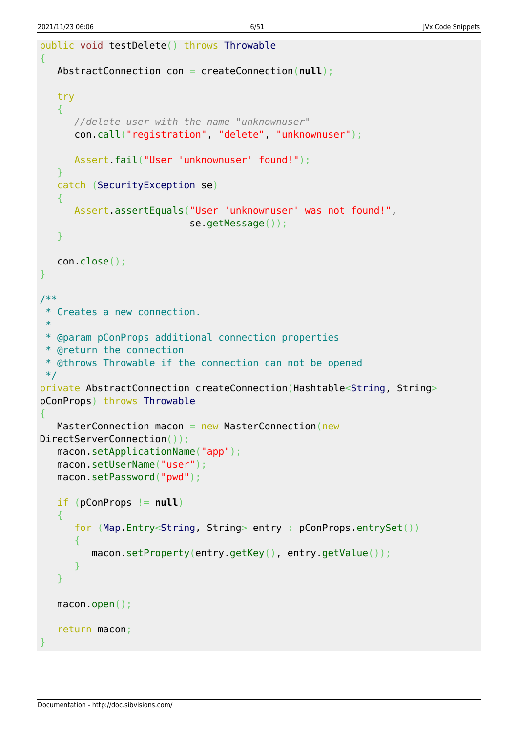```
public void testDelete() throws Throwable
{
    AbstractConnection con = createConnection(null);
    try
    {
       //delete user with the name "unknownuser"
       con.call("registration", "delete", "unknownuser");
       Assert.fail("User 'unknownuser' found!");
    }
    catch (SecurityException se)
    {
       Assert.assertEquals("User 'unknownuser' was not found!",
                            se.getMessage());
    }
    con.close();
}
/**
 * Creates a new connection.
 *
 * @param pConProps additional connection properties
 * @return the connection
 * @throws Throwable if the connection can not be opened
 */
private AbstractConnection createConnection(Hashtable<String, String>
pConProps) throws Throwable
{
   MasterConnection macon = new MasterConnection (new
DirectServerConnection());
    macon.setApplicationName("app");
    macon.setUserName("user");
    macon.setPassword("pwd");
    if (pConProps != null)
    {
       for (Map.Entry<String, String> entry : pConProps.entrySet())
\overline{\phantom{a}} macon.setProperty(entry.getKey(), entry.getValue());
       }
    }
    macon.open();
    return macon;
}
```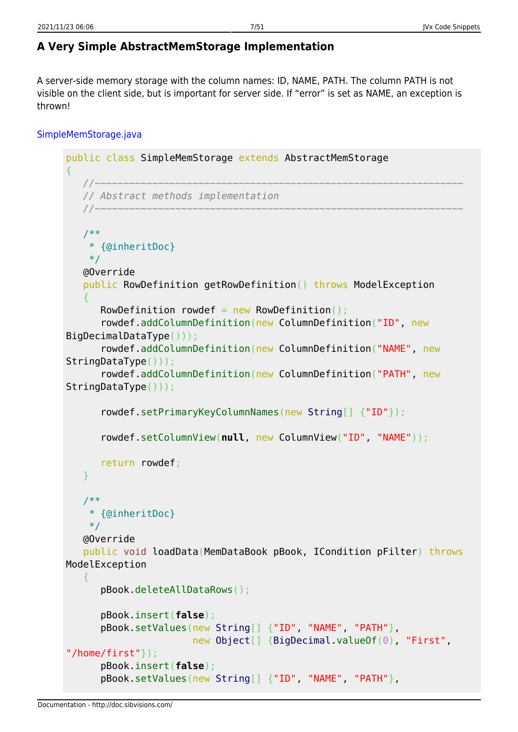# <span id="page-7-0"></span>**A Very Simple AbstractMemStorage Implementation**

A server-side memory storage with the column names: ID, NAME, PATH. The column PATH is not visible on the client side, but is important for server side. If "error" is set as NAME, an exception is thrown!

# [SimpleMemStorage.java](http://doc.sibvisions.com/_export/code/jvx/code_snippets?codeblock=5)

```
public class SimpleMemStorage extends AbstractMemStorage
{
    //~~~~~~~~~~~~~~~~~~~~~~~~~~~~~~~~~~~~~~~~~~~~~~~~~~~~~~~~~~~~~~~~
    // Abstract methods implementation
    //~~~~~~~~~~~~~~~~~~~~~~~~~~~~~~~~~~~~~~~~~~~~~~~~~~~~~~~~~~~~~~~~
    /**
     * {@inheritDoc}
     */
    @Override
    public RowDefinition getRowDefinition() throws ModelException
    {
      RowDefinition rowdef = new RowDefinition():
       rowdef.addColumnDefinition(new ColumnDefinition("ID", new
BigDecimalDataType()));
       rowdef.addColumnDefinition(new ColumnDefinition("NAME", new
StringDataType()));
       rowdef.addColumnDefinition(new ColumnDefinition("PATH", new
StringDataType()));
       rowdef.setPrimaryKeyColumnNames(new String[] {"ID"});
       rowdef.setColumnView(null, new ColumnView("ID", "NAME"));
       return rowdef;
    }
    /**
     * {@inheritDoc}
     */
    @Override
    public void loadData(MemDataBook pBook, ICondition pFilter) throws
ModelException
    {
       pBook.deleteAllDataRows();
       pBook.insert(false);
       pBook.setValues(new String[] {"ID", "NAME", "PATH"},
                         new Object[] {BigDecimal.valueOf(0), "First",
"/home/first"});
       pBook.insert(false);
       pBook.setValues(new String[] {"ID", "NAME", "PATH"},
```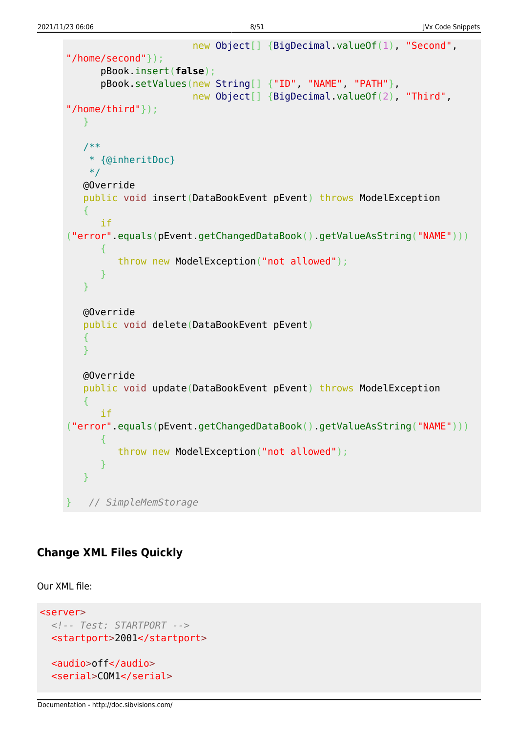```
 new Object[] {BigDecimal.valueOf(1), "Second",
"/home/second"});
       pBook.insert(false);
       pBook.setValues(new String[] {"ID", "NAME", "PATH"},
                         new Object[] {BigDecimal.valueOf(2), "Third",
"/home/third"});
    }
    /**
     * {@inheritDoc}
     */
    @Override
    public void insert(DataBookEvent pEvent) throws ModelException
    {
       if
("error".equals(pEvent.getChangedDataBook().getValueAsString("NAME")))
\overline{\phantom{a}} throw new ModelException("not allowed");
       }
    }
    @Override
    public void delete(DataBookEvent pEvent)
    {
    }
    @Override
    public void update(DataBookEvent pEvent) throws ModelException
    {
       if
("error".equals(pEvent.getChangedDataBook().getValueAsString("NAME")))
\overline{\phantom{a}} throw new ModelException("not allowed");
       }
    }
   } // SimpleMemStorage
```
## <span id="page-8-0"></span>**Change XML Files Quickly**

Our XML file:

```
<server>
   <!-- Test: STARTPORT -->
  <startport>2001</startport>
   <audio>off</audio>
   <serial>COM1</serial>
```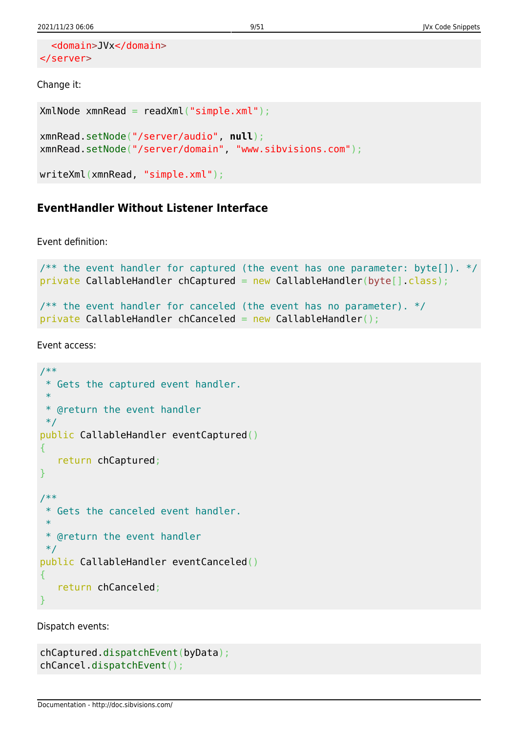```
 <domain>JVx</domain>
</server>
```
#### Change it:

```
XmNode xmnRead = readXml("simple.xml");
xmnRead.setNode("/server/audio", null);
xmnRead.setNode("/server/domain", "www.sibvisions.com");
```

```
writeXml(xmnRead, "simple.xml");
```
# <span id="page-9-0"></span>**EventHandler Without Listener Interface**

Event definition:

```
\gamma^{**} the event handler for captured (the event has one parameter: byte[]). */
private CallableHandler chCaptured = new CallableHandler(byte[].class);
/** the event handler for canceled (the event has no parameter). */private CallableHandler chCanceled = new CallableHandler();
```
Event access:

```
/**
 * Gets the captured event handler.
 *
 * @return the event handler
 */
public CallableHandler eventCaptured()
{
    return chCaptured;
}
/**
 * Gets the canceled event handler.
 *
 * @return the event handler
 */
public CallableHandler eventCanceled()
{
    return chCanceled;
}
```
Dispatch events:

```
chCaptured.dispatchEvent(byData);
chCancel.dispatchEvent();
```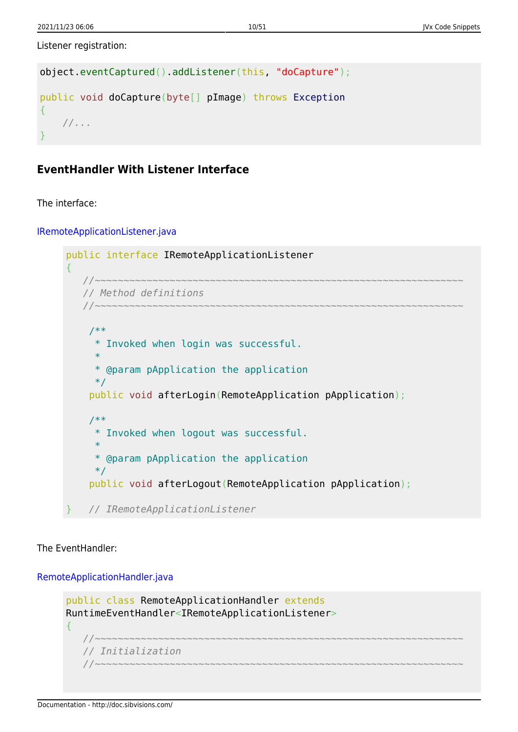Listener registration:

```
object.eventCaptured().addListener(this, "doCapture");
public void doCapture(byte[] pImage) throws Exception
{
    //...
}
```
# <span id="page-10-0"></span>**EventHandler With Listener Interface**

The interface:

[IRemoteApplicationListener.java](http://doc.sibvisions.com/_export/code/jvx/code_snippets?codeblock=12)

```
public interface IRemoteApplicationListener
{
    //~~~~~~~~~~~~~~~~~~~~~~~~~~~~~~~~~~~~~~~~~~~~~~~~~~~~~~~~~~~~~~~~
    // Method definitions
    //~~~~~~~~~~~~~~~~~~~~~~~~~~~~~~~~~~~~~~~~~~~~~~~~~~~~~~~~~~~~~~~~
     /**
      * Invoked when login was successful.
 *
      * @param pApplication the application
      */
     public void afterLogin(RemoteApplication pApplication);
     /**
      * Invoked when logout was successful.
 *
      * @param pApplication the application
      */
     public void afterLogout(RemoteApplication pApplication);
    } // IRemoteApplicationListener
```
The EventHandler:

[RemoteApplicationHandler.java](http://doc.sibvisions.com/_export/code/jvx/code_snippets?codeblock=13)

```
public class RemoteApplicationHandler extends
RuntimeEventHandler<IRemoteApplicationListener>
{
    //~~~~~~~~~~~~~~~~~~~~~~~~~~~~~~~~~~~~~~~~~~~~~~~~~~~~~~~~~~~~~~~~
    // Initialization
 //~~~~~~~~~~~~~~~~~~~~~~~~~~~~~~~~~~~~~~~~~~~~~~~~~~~~~~~~~~~~~~~~
```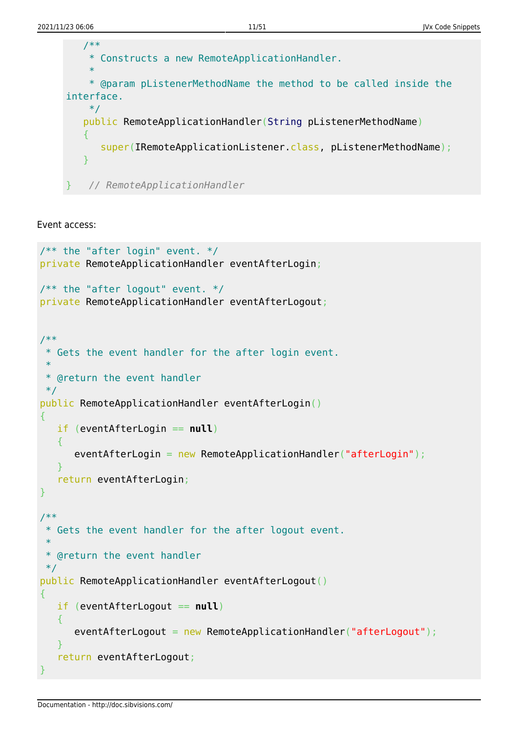

Event access:

```
/** the "after login" event. */private RemoteApplicationHandler eventAfterLogin;
\frac{1}{2} the "after logout" event. */
private RemoteApplicationHandler eventAfterLogout;
/**
  * Gets the event handler for the after login event.
 *
  * @return the event handler
  */
public RemoteApplicationHandler eventAfterLogin()
{
    if (eventAfterLogin == null)
    {
      eventAfterLogin = new RemoteApplicationHandler("afterLogin");
    }
    return eventAfterLogin;
}
/**
  * Gets the event handler for the after logout event.
 *
  * @return the event handler
  */
public RemoteApplicationHandler eventAfterLogout()
{
    if (eventAfterLogout == null)
\overline{\phantom{a}}eventAfterLogout = new RemoteApplicationHandler("afterLogout"); }
    return eventAfterLogout;
}
```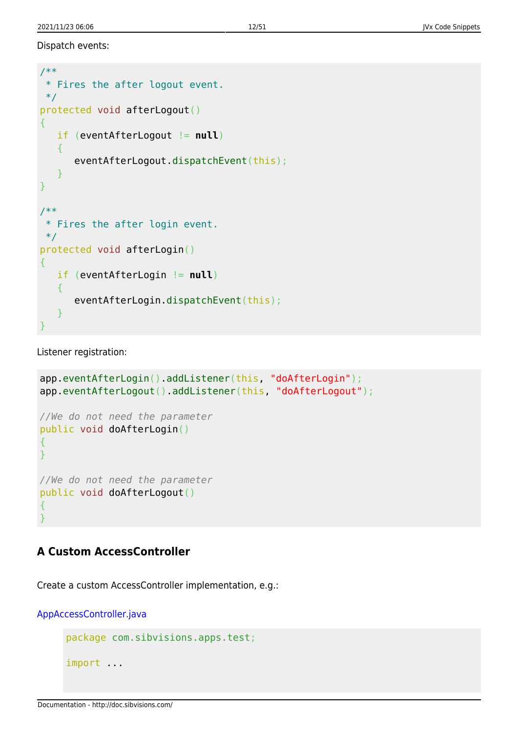Dispatch events:

```
/**
 * Fires the after logout event.
 */
protected void afterLogout()
{
   if (eventAfterLogout != null)
    {
       eventAfterLogout.dispatchEvent(this);
    }
}
/**
 * Fires the after login event.
 */
protected void afterLogin()
{
    if (eventAfterLogin != null)
    {
      eventAfterLogin.dispatchEvent(this);
    }
}
```
Listener registration:

```
app.eventAfterLogin().addListener(this, "doAfterLogin");
app.eventAfterLogout().addListener(this, "doAfterLogout");
//We do not need the parameter
public void doAfterLogin()
{
}
//We do not need the parameter
public void doAfterLogout()
{
}
```
## <span id="page-12-0"></span>**A Custom AccessController**

Create a custom AccessController implementation, e.g.:

[AppAccessController.java](http://doc.sibvisions.com/_export/code/jvx/code_snippets?codeblock=17)

```
package com.sibvisions.apps.test;
```

```
import ...
```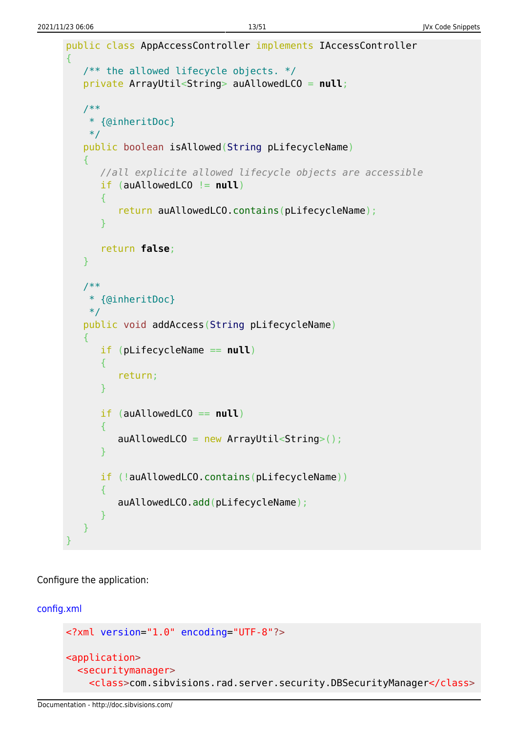```
public class AppAccessController implements IAccessController
{
   /** the allowed lifecycle objects. */ private ArrayUtil<String> auAllowedLCO = null;
    /**
     * {@inheritDoc}
     */
    public boolean isAllowed(String pLifecycleName)
    {
       //all explicite allowed lifecycle objects are accessible
       if (auAllowedLCO != null)
       {
           return auAllowedLCO.contains(pLifecycleName);
       }
       return false;
    }
    /**
     * {@inheritDoc}
     */
    public void addAccess(String pLifecycleName)
    {
       if (pLifecycleName == null)
      \overline{f} return;
       }
       if (auAllowedLCO == null)
\overline{\phantom{a}}auAllowedLCO = new ArrayUtil<String>();
       }
       if (!auAllowedLCO.contains(pLifecycleName))
        {
          auAllowedLCO.add(pLifecycleName);
       }
    }
}
```
Configure the application:

#### [config.xml](http://doc.sibvisions.com/_export/code/jvx/code_snippets?codeblock=18)

```
<?xml version="1.0" encoding="UTF-8"?>
<application>
   <securitymanager>
     <class>com.sibvisions.rad.server.security.DBSecurityManager</class>
```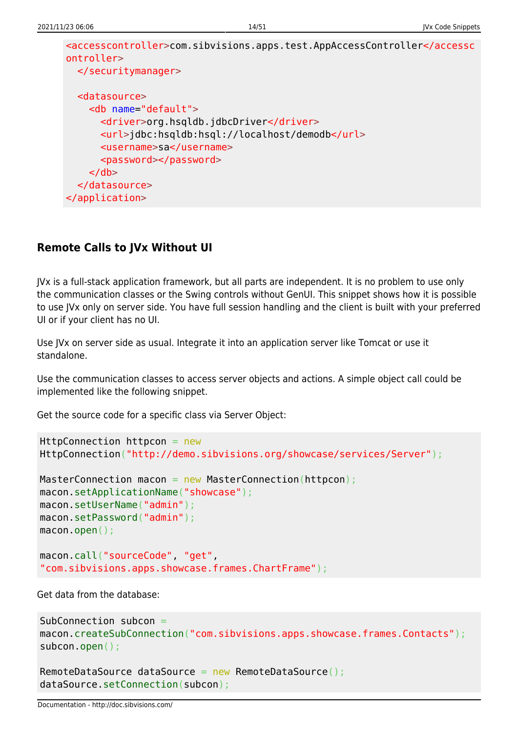```
<accesscontroller>com.sibvisions.apps.test.AppAccessController</accessc
ontroller>
   </securitymanager>
   <datasource>
     <db name="default">
       <driver>org.hsqldb.jdbcDriver</driver>
       <url>jdbc:hsqldb:hsql://localhost/demodb</url>
       <username>sa</username>
       <password></password>
    \langledb\rangle </datasource>
</application>
```
# <span id="page-14-0"></span>**Remote Calls to JVx Without UI**

JVx is a full-stack application framework, but all parts are independent. It is no problem to use only the communication classes or the Swing controls without GenUI. This snippet shows how it is possible to use JVx only on server side. You have full session handling and the client is built with your preferred UI or if your client has no UI.

Use JVx on server side as usual. Integrate it into an application server like Tomcat or use it standalone.

Use the communication classes to access server objects and actions. A simple object call could be implemented like the following snippet.

Get the source code for a specific class via Server Object:

```
HttpConnection httpcon = new
HttpConnection("http://demo.sibvisions.org/showcase/services/Server");
```

```
MasterConnection macon = new MasterConnection(httpcon);
macon.setApplicationName("showcase");
macon.setUserName("admin");
macon.setPassword("admin");
macon.open();
macon.call("sourceCode", "get",
```
"com.sibvisions.apps.showcase.frames.ChartFrame");

Get data from the database:

```
SubConnection subcon =
macon.createSubConnection("com.sibvisions.apps.showcase.frames.Contacts");
subcon.open();
```

```
RemoteDataSource dataSource = new RemoteDataSource();
dataSource.setConnection(subcon);
```
Documentation - http://doc.sibvisions.com/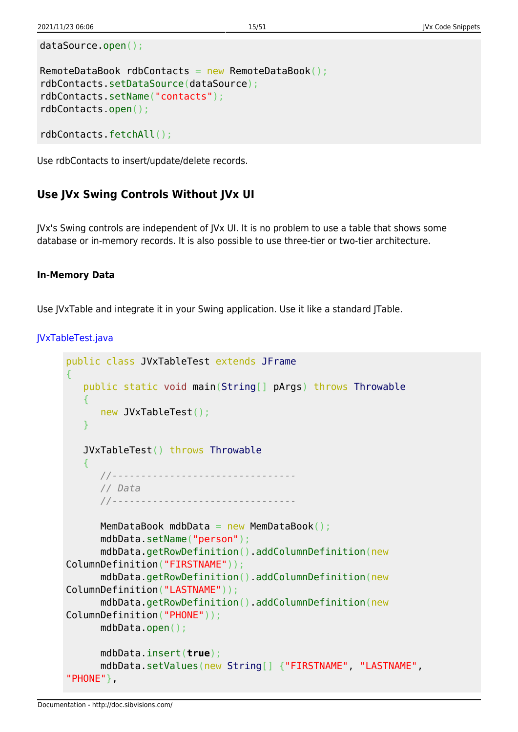```
dataSource.open();
```

```
RemoteDataBook rdbContacts = new RemoteDataBook();
rdbContacts.setDataSource(dataSource);
rdbContacts.setName("contacts");
rdbContacts.open();
```

```
rdbContacts.fetchAll();
```
Use rdbContacts to insert/update/delete records.

## <span id="page-15-0"></span>**Use JVx Swing Controls Without JVx UI**

JVx's Swing controls are independent of JVx UI. It is no problem to use a table that shows some database or in-memory records. It is also possible to use three-tier or two-tier architecture.

#### **In-Memory Data**

Use JVxTable and integrate it in your Swing application. Use it like a standard JTable.

```
JVxTableTest.java
```

```
public class JVxTableTest extends JFrame
{
    public static void main(String[] pArgs) throws Throwable
    {
       new JVxTableTest();
    }
    JVxTableTest() throws Throwable
   \mathcal{L} //--------------------------------
       // Data
       //--------------------------------
      MemDataBook mdbData = new MemDataBook();
       mdbData.setName("person");
       mdbData.getRowDefinition().addColumnDefinition(new
ColumnDefinition("FIRSTNAME"));
       mdbData.getRowDefinition().addColumnDefinition(new
ColumnDefinition("LASTNAME"));
       mdbData.getRowDefinition().addColumnDefinition(new
ColumnDefinition("PHONE"));
       mdbData.open();
       mdbData.insert(true);
       mdbData.setValues(new String[] {"FIRSTNAME", "LASTNAME",
"PHONE"},
```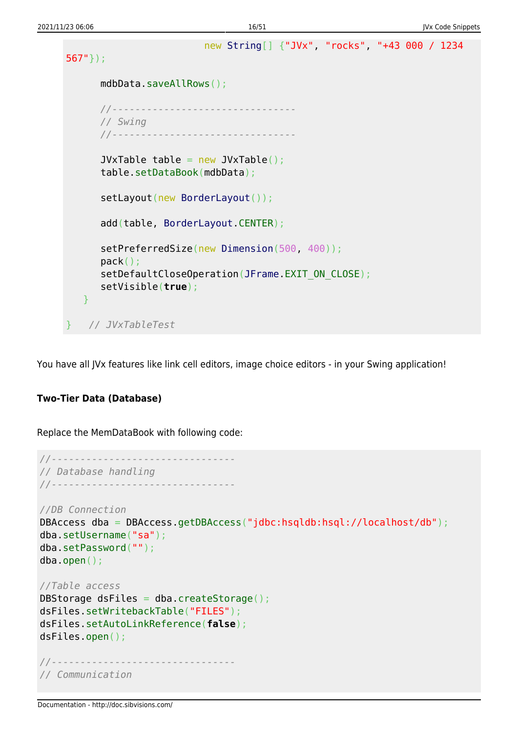```
 new String[] {"JVx", "rocks", "+43 000 / 1234
567"});
      mdbData.saveAllRows();
      //--------------------------------
      // Swing
      //--------------------------------
     JVxTable table = new JVxTable();
      table.setDataBook(mdbData);
     BorderLayout());
      add(table, BorderLayout.CENTER);
     Dimension(500, 400));
      pack();
     (JFrame.EXIT_ON_CLOSE);
      setVisible(true);
   }
   } // JVxTableTest
```
You have all JVx features like link cell editors, image choice editors - in your Swing application!

### **Two-Tier Data (Database)**

Replace the MemDataBook with following code:

```
//--------------------------------
// Database handling
//--------------------------------
//DB Connection
DBAccess dba = DBAccess.getDBAccess("jdbc:hsqldb:hsql://localhost/db");
dba.setUsername("sa");
dba.setPassword("");
dba.open();
//Table access
DBStorage dsFiles = dba.createStorage();
dsFiles.setWritebackTable("FILES");
dsFiles.setAutoLinkReference(false);
dsFiles.open();
//--------------------------------
// Communication
```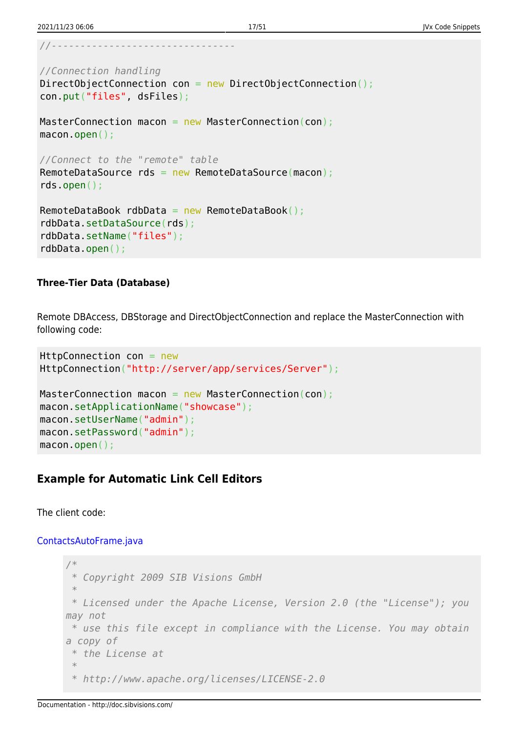```
//--------------------------------
```

```
//Connection handling
DirectObjectConnection con = new DirectObjectConnection();
con.put("files", dsFiles);
MasterConnection macon = new MasterConnection(con);
macon.open();
//Connect to the "remote" table
RemoteDataSource rds = new RemoteDataSource(macon);
rds.open();
RemoteDataBook rdbData = new RemoteDataBook();
rdbData.setDataSource(rds);
```
rdbData.setName("files"); rdbData.open();

#### **Three-Tier Data (Database)**

Remote DBAccess, DBStorage and DirectObjectConnection and replace the MasterConnection with following code:

```
HttpConnection con = new
HttpConnection("http://server/app/services/Server");
MasterConnection macon = new MasterConnection(con);
macon.setApplicationName("showcase");
macon.setUserName("admin");
macon.setPassword("admin");
macon.open();
```
### <span id="page-17-0"></span>**Example for Automatic Link Cell Editors**

The client code:

#### [ContactsAutoFrame.java](http://doc.sibvisions.com/_export/code/jvx/code_snippets?codeblock=24)

```
/*
 * Copyright 2009 SIB Visions GmbH
 *
 * Licensed under the Apache License, Version 2.0 (the "License"); you
may not
 * use this file except in compliance with the License. You may obtain
a copy of
 * the License at
  *
  * http://www.apache.org/licenses/LICENSE-2.0
```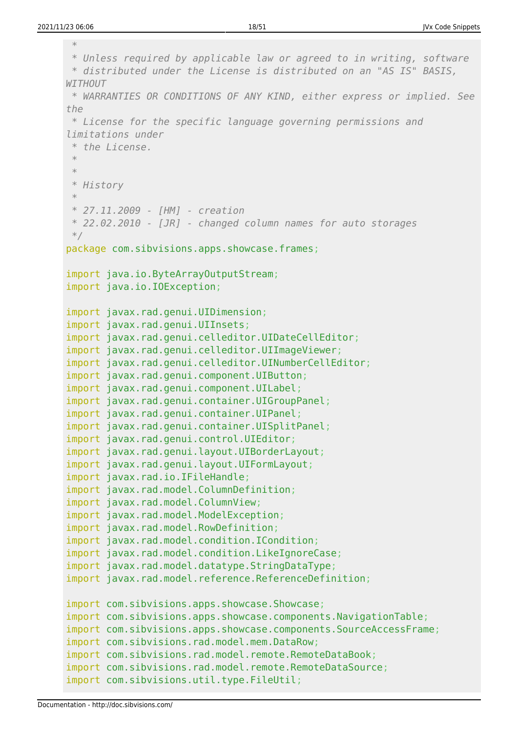*\**

| * WARRANTIES OR CONDITIONS OF ANY KIND, either express or implied. See<br>the<br>* License for the specific language governing permissions and<br>limitations under<br>* the License.<br>$\ast$<br>$\ast$<br>* History<br>$\ast$<br>* 27.11.2009 - [HM] - creation<br>* 22.02.2010 - [JR] - changed column names for auto storages<br>$*/$<br>package com.sibvisions.apps.showcase.frames;<br>import java.io.ByteArrayOutputStream;<br>import java.io.IOException;<br>import javax.rad.genui.UIDimension;<br>import javax.rad.genui.UIInsets;<br>import javax.rad.genui.celleditor.UIDateCellEditor;<br>import javax.rad.genui.celleditor.UIImageViewer;<br>import javax.rad.genui.celleditor.UINumberCellEditor;<br>import javax.rad.genui.component.UIButton;<br>import javax.rad.genui.component.UILabel;<br>import javax.rad.genui.container.UIGroupPanel;<br>import javax.rad.genui.container.UIPanel;<br>import javax.rad.genui.container.UISplitPanel;<br>import javax.rad.genui.control.UIEditor;<br>import javax.rad.genui.layout.UIBorderLayout;<br>import javax.rad.genui.layout.UIFormLayout;<br>import javax.rad.io.IFileHandle;<br>import javax.rad.model.ColumnDefinition;<br>import javax.rad.model.ColumnView;<br>import javax.rad.model.ModelException;<br>import javax.rad.model.RowDefinition;<br>import javax.rad.model.condition.ICondition;<br>import javax.rad.model.condition.LikeIgnoreCase;<br>import javax.rad.model.datatype.StringDataType;<br>import javax.rad.model.reference.ReferenceDefinition;<br>import com.sibvisions.apps.showcase.Showcase;<br>import com.sibvisions.apps.showcase.components.NavigationTable;<br>import com.sibvisions.apps.showcase.components.SourceAccessFrame;<br>import com.sibvisions.rad.model.mem.DataRow;<br>import com.sibvisions.rad.model.remote.RemoteDataBook;<br>import com.sibvisions.rad.model.remote.RemoteDataSource;<br>import com.sibvisions.util.type.FileUtil; | * Unless required by applicable law or agreed to in writing, software<br>* distributed under the License is distributed on an "AS IS" BASIS,<br><b>WITHOUT</b> |
|------------------------------------------------------------------------------------------------------------------------------------------------------------------------------------------------------------------------------------------------------------------------------------------------------------------------------------------------------------------------------------------------------------------------------------------------------------------------------------------------------------------------------------------------------------------------------------------------------------------------------------------------------------------------------------------------------------------------------------------------------------------------------------------------------------------------------------------------------------------------------------------------------------------------------------------------------------------------------------------------------------------------------------------------------------------------------------------------------------------------------------------------------------------------------------------------------------------------------------------------------------------------------------------------------------------------------------------------------------------------------------------------------------------------------------------------------------------------------------------------------------------------------------------------------------------------------------------------------------------------------------------------------------------------------------------------------------------------------------------------------------------------------------------------------------------------------------------------------------------------------------------------------------------------------------------------|----------------------------------------------------------------------------------------------------------------------------------------------------------------|
|                                                                                                                                                                                                                                                                                                                                                                                                                                                                                                                                                                                                                                                                                                                                                                                                                                                                                                                                                                                                                                                                                                                                                                                                                                                                                                                                                                                                                                                                                                                                                                                                                                                                                                                                                                                                                                                                                                                                                |                                                                                                                                                                |
|                                                                                                                                                                                                                                                                                                                                                                                                                                                                                                                                                                                                                                                                                                                                                                                                                                                                                                                                                                                                                                                                                                                                                                                                                                                                                                                                                                                                                                                                                                                                                                                                                                                                                                                                                                                                                                                                                                                                                |                                                                                                                                                                |
|                                                                                                                                                                                                                                                                                                                                                                                                                                                                                                                                                                                                                                                                                                                                                                                                                                                                                                                                                                                                                                                                                                                                                                                                                                                                                                                                                                                                                                                                                                                                                                                                                                                                                                                                                                                                                                                                                                                                                |                                                                                                                                                                |
|                                                                                                                                                                                                                                                                                                                                                                                                                                                                                                                                                                                                                                                                                                                                                                                                                                                                                                                                                                                                                                                                                                                                                                                                                                                                                                                                                                                                                                                                                                                                                                                                                                                                                                                                                                                                                                                                                                                                                |                                                                                                                                                                |
|                                                                                                                                                                                                                                                                                                                                                                                                                                                                                                                                                                                                                                                                                                                                                                                                                                                                                                                                                                                                                                                                                                                                                                                                                                                                                                                                                                                                                                                                                                                                                                                                                                                                                                                                                                                                                                                                                                                                                |                                                                                                                                                                |
|                                                                                                                                                                                                                                                                                                                                                                                                                                                                                                                                                                                                                                                                                                                                                                                                                                                                                                                                                                                                                                                                                                                                                                                                                                                                                                                                                                                                                                                                                                                                                                                                                                                                                                                                                                                                                                                                                                                                                |                                                                                                                                                                |
|                                                                                                                                                                                                                                                                                                                                                                                                                                                                                                                                                                                                                                                                                                                                                                                                                                                                                                                                                                                                                                                                                                                                                                                                                                                                                                                                                                                                                                                                                                                                                                                                                                                                                                                                                                                                                                                                                                                                                |                                                                                                                                                                |
|                                                                                                                                                                                                                                                                                                                                                                                                                                                                                                                                                                                                                                                                                                                                                                                                                                                                                                                                                                                                                                                                                                                                                                                                                                                                                                                                                                                                                                                                                                                                                                                                                                                                                                                                                                                                                                                                                                                                                |                                                                                                                                                                |
|                                                                                                                                                                                                                                                                                                                                                                                                                                                                                                                                                                                                                                                                                                                                                                                                                                                                                                                                                                                                                                                                                                                                                                                                                                                                                                                                                                                                                                                                                                                                                                                                                                                                                                                                                                                                                                                                                                                                                |                                                                                                                                                                |
|                                                                                                                                                                                                                                                                                                                                                                                                                                                                                                                                                                                                                                                                                                                                                                                                                                                                                                                                                                                                                                                                                                                                                                                                                                                                                                                                                                                                                                                                                                                                                                                                                                                                                                                                                                                                                                                                                                                                                |                                                                                                                                                                |
|                                                                                                                                                                                                                                                                                                                                                                                                                                                                                                                                                                                                                                                                                                                                                                                                                                                                                                                                                                                                                                                                                                                                                                                                                                                                                                                                                                                                                                                                                                                                                                                                                                                                                                                                                                                                                                                                                                                                                |                                                                                                                                                                |
|                                                                                                                                                                                                                                                                                                                                                                                                                                                                                                                                                                                                                                                                                                                                                                                                                                                                                                                                                                                                                                                                                                                                                                                                                                                                                                                                                                                                                                                                                                                                                                                                                                                                                                                                                                                                                                                                                                                                                |                                                                                                                                                                |
|                                                                                                                                                                                                                                                                                                                                                                                                                                                                                                                                                                                                                                                                                                                                                                                                                                                                                                                                                                                                                                                                                                                                                                                                                                                                                                                                                                                                                                                                                                                                                                                                                                                                                                                                                                                                                                                                                                                                                |                                                                                                                                                                |
|                                                                                                                                                                                                                                                                                                                                                                                                                                                                                                                                                                                                                                                                                                                                                                                                                                                                                                                                                                                                                                                                                                                                                                                                                                                                                                                                                                                                                                                                                                                                                                                                                                                                                                                                                                                                                                                                                                                                                |                                                                                                                                                                |
|                                                                                                                                                                                                                                                                                                                                                                                                                                                                                                                                                                                                                                                                                                                                                                                                                                                                                                                                                                                                                                                                                                                                                                                                                                                                                                                                                                                                                                                                                                                                                                                                                                                                                                                                                                                                                                                                                                                                                |                                                                                                                                                                |
|                                                                                                                                                                                                                                                                                                                                                                                                                                                                                                                                                                                                                                                                                                                                                                                                                                                                                                                                                                                                                                                                                                                                                                                                                                                                                                                                                                                                                                                                                                                                                                                                                                                                                                                                                                                                                                                                                                                                                |                                                                                                                                                                |
|                                                                                                                                                                                                                                                                                                                                                                                                                                                                                                                                                                                                                                                                                                                                                                                                                                                                                                                                                                                                                                                                                                                                                                                                                                                                                                                                                                                                                                                                                                                                                                                                                                                                                                                                                                                                                                                                                                                                                |                                                                                                                                                                |
|                                                                                                                                                                                                                                                                                                                                                                                                                                                                                                                                                                                                                                                                                                                                                                                                                                                                                                                                                                                                                                                                                                                                                                                                                                                                                                                                                                                                                                                                                                                                                                                                                                                                                                                                                                                                                                                                                                                                                |                                                                                                                                                                |
|                                                                                                                                                                                                                                                                                                                                                                                                                                                                                                                                                                                                                                                                                                                                                                                                                                                                                                                                                                                                                                                                                                                                                                                                                                                                                                                                                                                                                                                                                                                                                                                                                                                                                                                                                                                                                                                                                                                                                |                                                                                                                                                                |
|                                                                                                                                                                                                                                                                                                                                                                                                                                                                                                                                                                                                                                                                                                                                                                                                                                                                                                                                                                                                                                                                                                                                                                                                                                                                                                                                                                                                                                                                                                                                                                                                                                                                                                                                                                                                                                                                                                                                                |                                                                                                                                                                |
|                                                                                                                                                                                                                                                                                                                                                                                                                                                                                                                                                                                                                                                                                                                                                                                                                                                                                                                                                                                                                                                                                                                                                                                                                                                                                                                                                                                                                                                                                                                                                                                                                                                                                                                                                                                                                                                                                                                                                |                                                                                                                                                                |
|                                                                                                                                                                                                                                                                                                                                                                                                                                                                                                                                                                                                                                                                                                                                                                                                                                                                                                                                                                                                                                                                                                                                                                                                                                                                                                                                                                                                                                                                                                                                                                                                                                                                                                                                                                                                                                                                                                                                                |                                                                                                                                                                |
|                                                                                                                                                                                                                                                                                                                                                                                                                                                                                                                                                                                                                                                                                                                                                                                                                                                                                                                                                                                                                                                                                                                                                                                                                                                                                                                                                                                                                                                                                                                                                                                                                                                                                                                                                                                                                                                                                                                                                |                                                                                                                                                                |
|                                                                                                                                                                                                                                                                                                                                                                                                                                                                                                                                                                                                                                                                                                                                                                                                                                                                                                                                                                                                                                                                                                                                                                                                                                                                                                                                                                                                                                                                                                                                                                                                                                                                                                                                                                                                                                                                                                                                                |                                                                                                                                                                |
|                                                                                                                                                                                                                                                                                                                                                                                                                                                                                                                                                                                                                                                                                                                                                                                                                                                                                                                                                                                                                                                                                                                                                                                                                                                                                                                                                                                                                                                                                                                                                                                                                                                                                                                                                                                                                                                                                                                                                |                                                                                                                                                                |
|                                                                                                                                                                                                                                                                                                                                                                                                                                                                                                                                                                                                                                                                                                                                                                                                                                                                                                                                                                                                                                                                                                                                                                                                                                                                                                                                                                                                                                                                                                                                                                                                                                                                                                                                                                                                                                                                                                                                                |                                                                                                                                                                |
|                                                                                                                                                                                                                                                                                                                                                                                                                                                                                                                                                                                                                                                                                                                                                                                                                                                                                                                                                                                                                                                                                                                                                                                                                                                                                                                                                                                                                                                                                                                                                                                                                                                                                                                                                                                                                                                                                                                                                |                                                                                                                                                                |
|                                                                                                                                                                                                                                                                                                                                                                                                                                                                                                                                                                                                                                                                                                                                                                                                                                                                                                                                                                                                                                                                                                                                                                                                                                                                                                                                                                                                                                                                                                                                                                                                                                                                                                                                                                                                                                                                                                                                                |                                                                                                                                                                |
|                                                                                                                                                                                                                                                                                                                                                                                                                                                                                                                                                                                                                                                                                                                                                                                                                                                                                                                                                                                                                                                                                                                                                                                                                                                                                                                                                                                                                                                                                                                                                                                                                                                                                                                                                                                                                                                                                                                                                |                                                                                                                                                                |
|                                                                                                                                                                                                                                                                                                                                                                                                                                                                                                                                                                                                                                                                                                                                                                                                                                                                                                                                                                                                                                                                                                                                                                                                                                                                                                                                                                                                                                                                                                                                                                                                                                                                                                                                                                                                                                                                                                                                                |                                                                                                                                                                |
|                                                                                                                                                                                                                                                                                                                                                                                                                                                                                                                                                                                                                                                                                                                                                                                                                                                                                                                                                                                                                                                                                                                                                                                                                                                                                                                                                                                                                                                                                                                                                                                                                                                                                                                                                                                                                                                                                                                                                |                                                                                                                                                                |
|                                                                                                                                                                                                                                                                                                                                                                                                                                                                                                                                                                                                                                                                                                                                                                                                                                                                                                                                                                                                                                                                                                                                                                                                                                                                                                                                                                                                                                                                                                                                                                                                                                                                                                                                                                                                                                                                                                                                                |                                                                                                                                                                |
|                                                                                                                                                                                                                                                                                                                                                                                                                                                                                                                                                                                                                                                                                                                                                                                                                                                                                                                                                                                                                                                                                                                                                                                                                                                                                                                                                                                                                                                                                                                                                                                                                                                                                                                                                                                                                                                                                                                                                |                                                                                                                                                                |
|                                                                                                                                                                                                                                                                                                                                                                                                                                                                                                                                                                                                                                                                                                                                                                                                                                                                                                                                                                                                                                                                                                                                                                                                                                                                                                                                                                                                                                                                                                                                                                                                                                                                                                                                                                                                                                                                                                                                                |                                                                                                                                                                |
|                                                                                                                                                                                                                                                                                                                                                                                                                                                                                                                                                                                                                                                                                                                                                                                                                                                                                                                                                                                                                                                                                                                                                                                                                                                                                                                                                                                                                                                                                                                                                                                                                                                                                                                                                                                                                                                                                                                                                |                                                                                                                                                                |
|                                                                                                                                                                                                                                                                                                                                                                                                                                                                                                                                                                                                                                                                                                                                                                                                                                                                                                                                                                                                                                                                                                                                                                                                                                                                                                                                                                                                                                                                                                                                                                                                                                                                                                                                                                                                                                                                                                                                                |                                                                                                                                                                |
|                                                                                                                                                                                                                                                                                                                                                                                                                                                                                                                                                                                                                                                                                                                                                                                                                                                                                                                                                                                                                                                                                                                                                                                                                                                                                                                                                                                                                                                                                                                                                                                                                                                                                                                                                                                                                                                                                                                                                |                                                                                                                                                                |
|                                                                                                                                                                                                                                                                                                                                                                                                                                                                                                                                                                                                                                                                                                                                                                                                                                                                                                                                                                                                                                                                                                                                                                                                                                                                                                                                                                                                                                                                                                                                                                                                                                                                                                                                                                                                                                                                                                                                                |                                                                                                                                                                |
|                                                                                                                                                                                                                                                                                                                                                                                                                                                                                                                                                                                                                                                                                                                                                                                                                                                                                                                                                                                                                                                                                                                                                                                                                                                                                                                                                                                                                                                                                                                                                                                                                                                                                                                                                                                                                                                                                                                                                |                                                                                                                                                                |
|                                                                                                                                                                                                                                                                                                                                                                                                                                                                                                                                                                                                                                                                                                                                                                                                                                                                                                                                                                                                                                                                                                                                                                                                                                                                                                                                                                                                                                                                                                                                                                                                                                                                                                                                                                                                                                                                                                                                                |                                                                                                                                                                |
|                                                                                                                                                                                                                                                                                                                                                                                                                                                                                                                                                                                                                                                                                                                                                                                                                                                                                                                                                                                                                                                                                                                                                                                                                                                                                                                                                                                                                                                                                                                                                                                                                                                                                                                                                                                                                                                                                                                                                |                                                                                                                                                                |
|                                                                                                                                                                                                                                                                                                                                                                                                                                                                                                                                                                                                                                                                                                                                                                                                                                                                                                                                                                                                                                                                                                                                                                                                                                                                                                                                                                                                                                                                                                                                                                                                                                                                                                                                                                                                                                                                                                                                                |                                                                                                                                                                |
|                                                                                                                                                                                                                                                                                                                                                                                                                                                                                                                                                                                                                                                                                                                                                                                                                                                                                                                                                                                                                                                                                                                                                                                                                                                                                                                                                                                                                                                                                                                                                                                                                                                                                                                                                                                                                                                                                                                                                |                                                                                                                                                                |
|                                                                                                                                                                                                                                                                                                                                                                                                                                                                                                                                                                                                                                                                                                                                                                                                                                                                                                                                                                                                                                                                                                                                                                                                                                                                                                                                                                                                                                                                                                                                                                                                                                                                                                                                                                                                                                                                                                                                                |                                                                                                                                                                |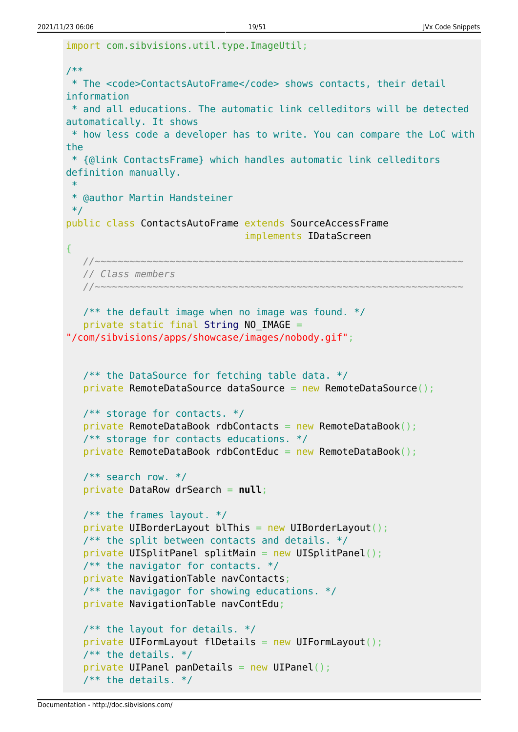```
import com.sibvisions.util.type.ImageUtil;
/**
  * The <code>ContactsAutoFrame</code> shows contacts, their detail
information
 * and all educations. The automatic link celleditors will be detected
automatically. It shows
 * how less code a developer has to write. You can compare the LoC with
the
 * {@link ContactsFrame} which handles automatic link celleditors
definition manually.
 *
 * @author Martin Handsteiner
  */
public class ContactsAutoFrame extends SourceAccessFrame
                                 implements IDataScreen
{
 //~~~~~~~~~~~~~~~~~~~~~~~~~~~~~~~~~~~~~~~~~~~~~~~~~~~~~~~~~~~~~~~~
    // Class members
    //~~~~~~~~~~~~~~~~~~~~~~~~~~~~~~~~~~~~~~~~~~~~~~~~~~~~~~~~~~~~~~~~
   /** the default image when no image was found. */
   String NO IMAGE =
"/com/sibvisions/apps/showcase/images/nobody.gif";
   /** the DataSource for fetching table data. */private RemoteDataSource dataSource = new RemoteDataSource();
    /** storage for contacts. */
   private RemoteDataBook rdbContacts = new RemoteDataBook();
    /** storage for contacts educations. */
   private RemoteDataBook rdbContEduc = new RemoteDataBook();
   /** search row. */ private DataRow drSearch = null;
   /** the frames layout. */private UIBorderLayout blThis = new UIBorderLayout();
   /** the split between contacts and details. */private UISplitPanel splitMain = new UISplitPanel();
   /** the navigator for contacts. */ private NavigationTable navContacts;
   /** the navigagor for showing educations. */ private NavigationTable navContEdu;
   /** the layout for details. */private UIFormLayout flDetails = new UIFormLayout();
   /** the details. */private UIPanel panDetails = new UIPanel();
   1^{**} the details. */
```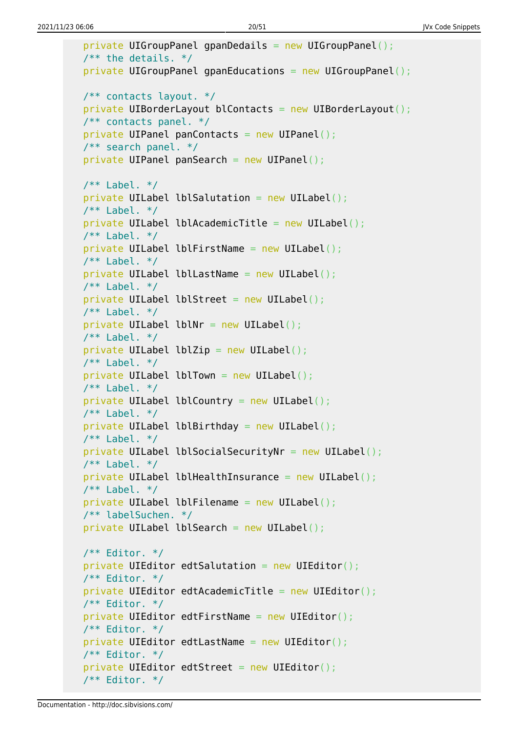```
private UIGroupPanel gpanDedails = new UIGroupPanel();
1** the details. *private UIGroupPanel gpanEducations = new UIGroupPanel();
 /** contacts layout. */
 private UIBorderLayout blContacts = new UIBorderLayout();
 /** contacts panel. */
private UIPanel panContacts = new UIPanel();
 /** search panel. */
private UIPanel panSearch = new UIPanel();
/** Label. */private UILabel lblSalutation = new UILabel();
1** Label. */private UILabel lblAcademicTitle = new UILabel();
7** Label. */
private UILabel lblFirstName = new UILabel();
/** Label. */private UILabel lblLastName = new UILabel();
/** Label. */private UILabel lblStreet = new UILabel();
7** Label. */private UILabel lblNr = new UILabel();
/** Label. */private UILabel lblZip = new UILabel();
7** Label. */private UILabel lblTown = new UILabel();
\frac{7}{7} Label. */
private UILabel lblCountry = new UILabel();
/** Label. */private UILabel lblBirthday = new UILabel();
\frac{7}{7} Label. */
private UILabel lblSocialSecurityNr = new UILabel();
7** Label. */private UILabel lblHealthInsurance = new UILabel();
/** Label. */private UILabel lblFilename = new UILabel();
 /** labelSuchen. */
private UILabel lblSearch = new UILabel();
 /** Editor. */
private UIEditor edtSalutation = new UIEditor();
 /** Editor. */
private UIEditor edtAcademicTitle = new UIEditor();
 /** Editor. */
private UIEditor edtFirstName = new UIEditor();
 /** Editor. */
private UIEditor edtLastName = new UIEditor();
 /** Editor. */
private UIEditor edtStreet = new UIEditor();
 /** Editor. */
```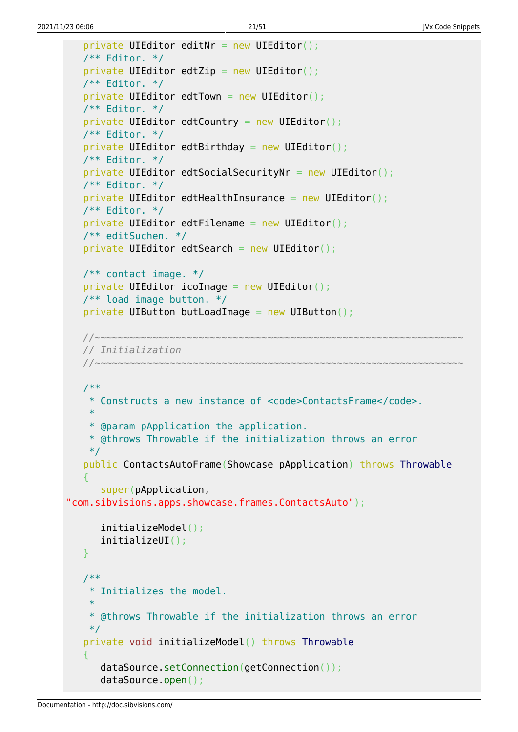```
private UIEditor editNr = new UIEditor();
    /** Editor. */
   private UIEditor edtZip = new UIEditor();
    /** Editor. */
   private UIEditor edtTown = new UIEditor();
    /** Editor. */
   private UIEditor edtCountry = new UIEditor();
    /** Editor. */
   private UIEditor edtBirthday = new UIEditor();
    /** Editor. */
   private UIEditor edtSocialSecurityNr = new UIEditor();
    /** Editor. */
   private UIEditor edtHealthInsurance = new UIEditor();
    /** Editor. */
   private UIEditor edtFilename = new UIEditor();
    /** editSuchen. */
   private UIEditor edtSearch = new UIEditor();
    /** contact image. */
   private UIEditor icoImage = new UIEditor();
    /** load image button. */
   private UIButton butLoadImage = new UIButton();
    //~~~~~~~~~~~~~~~~~~~~~~~~~~~~~~~~~~~~~~~~~~~~~~~~~~~~~~~~~~~~~~~~
    // Initialization
    //~~~~~~~~~~~~~~~~~~~~~~~~~~~~~~~~~~~~~~~~~~~~~~~~~~~~~~~~~~~~~~~~
    /**
     * Constructs a new instance of <code>ContactsFrame</code>.
 *
     * @param pApplication the application.
     * @throws Throwable if the initialization throws an error
     */
    public ContactsAutoFrame(Showcase pApplication) throws Throwable
\overline{\phantom{a}} super(pApplication,
"com.sibvisions.apps.showcase.frames.ContactsAuto");
       initializeModel();
       initializeUI();
    }
    /**
     * Initializes the model.
 *
     * @throws Throwable if the initialization throws an error
     */
    private void initializeModel() throws Throwable
\overline{\phantom{a}}dataSource.setConnection(getConnection());
       dataSource.open();
```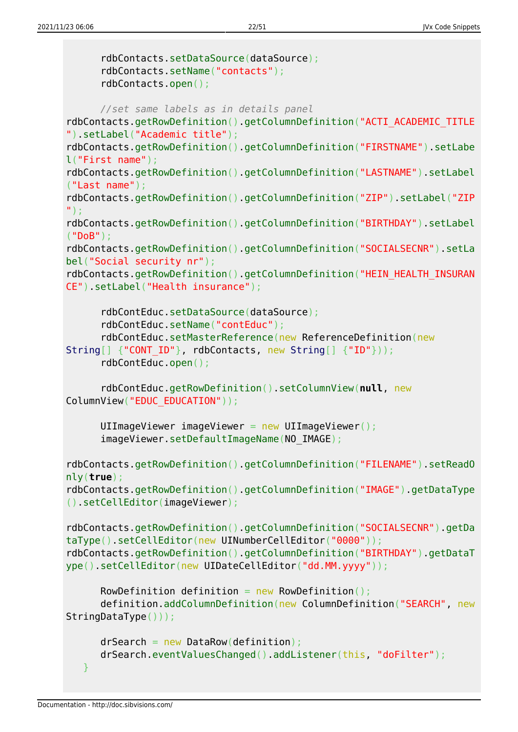```
 rdbContacts.setDataSource(dataSource);
       rdbContacts.setName("contacts");
       rdbContacts.open();
       //set same labels as in details panel
rdbContacts.getRowDefinition().getColumnDefinition("ACTI_ACADEMIC_TITLE
").setLabel("Academic title");
rdbContacts.getRowDefinition().getColumnDefinition("FIRSTNAME").setLabe
l("First name");
rdbContacts.getRowDefinition().getColumnDefinition("LASTNAME").setLabel
("Last name");
rdbContacts.getRowDefinition().getColumnDefinition("ZIP").setLabel("ZIP
");
rdbContacts.getRowDefinition().getColumnDefinition("BIRTHDAY").setLabel
("DoB");
rdbContacts.getRowDefinition().getColumnDefinition("SOCIALSECNR").setLa
bel("Social security nr");
rdbContacts.getRowDefinition().getColumnDefinition("HEIN_HEALTH_INSURAN
CE").setLabel("Health insurance");
       rdbContEduc.setDataSource(dataSource);
       rdbContEduc.setName("contEduc");
       rdbContEduc.setMasterReference(new ReferenceDefinition(new
String[] {"CONT ID"}, rdbContacts, new String[] {"ID"}));
       rdbContEduc.open();
       rdbContEduc.getRowDefinition().setColumnView(null, new
ColumnView("EDUC_EDUCATION"));
       UIImageViewer imageViewer = new UIImageViewer();
       imageViewer.setDefaultImageName(NO_IMAGE);
rdbContacts.getRowDefinition().getColumnDefinition("FILENAME").setReadO
nly(true);
rdbContacts.getRowDefinition().getColumnDefinition("IMAGE").getDataType
().setCellEditor(imageViewer);
rdbContacts.getRowDefinition().getColumnDefinition("SOCIALSECNR").getDa
taType().setCellEditor(new UINumberCellEditor("0000"));
rdbContacts.getRowDefinition().getColumnDefinition("BIRTHDAY").getDataT
ype().setCellEditor(new UIDateCellEditor("dd.MM.yyyy"));
      RowDefinition definition = new RowDefinition();
       definition.addColumnDefinition(new ColumnDefinition("SEARCH", new
StringDataType()));
      drSearch = new DataRow(definition);
       drSearch.eventValuesChanged().addListener(this, "doFilter");
    }
```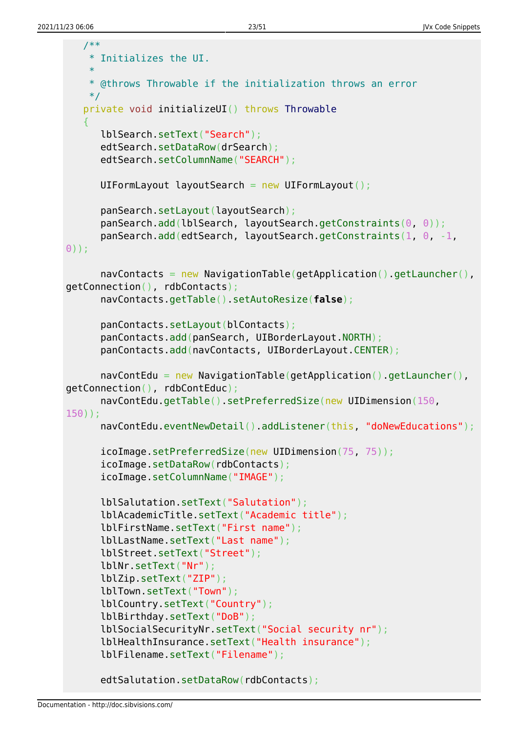```
 /**
     * Initializes the UI.
     *
     * @throws Throwable if the initialization throws an error
     */
    private void initializeUI() throws Throwable
    {
       lblSearch.setText("Search");
       edtSearch.setDataRow(drSearch);
       edtSearch.setColumnName("SEARCH");
      UIFormLayout layoutSearch = new UIFormLayout();
       panSearch.setLayout(layoutSearch);
       panSearch.add(lblSearch, layoutSearch.getConstraints(0, 0));
      panSearch.add(edtSearch, layoutSearch.getConstraints(1, 0 - 1,
0));
      navContents = new \ NavigationTable(getApplication() \cdot getLauncher(),
getConnection(), rdbContacts);
       navContacts.getTable().setAutoResize(false);
       panContacts.setLayout(blContacts);
       panContacts.add(panSearch, UIBorderLayout.NORTH);
       panContacts.add(navContacts, UIBorderLayout.CENTER);
       navContEdu = new NavigationTable(getApplication().getLauncher(),
getConnection(), rdbContEduc);
       navContEdu.getTable().setPreferredSize(new UIDimension(150,
150));
       navContEdu.eventNewDetail().addListener(this, "doNewEducations");
      icoImage.setPreferredSize(new UIDimension(75, 75));
      icoImage.setDataRow(rdbContacts);
       icoImage.setColumnName("IMAGE");
       lblSalutation.setText("Salutation");
       lblAcademicTitle.setText("Academic title");
       lblFirstName.setText("First name");
       lblLastName.setText("Last name");
       lblStreet.setText("Street");
       lblNr.setText("Nr");
       lblZip.setText("ZIP");
       lblTown.setText("Town");
       lblCountry.setText("Country");
       lblBirthday.setText("DoB");
       lblSocialSecurityNr.setText("Social security nr");
       lblHealthInsurance.setText("Health insurance");
       lblFilename.setText("Filename");
       edtSalutation.setDataRow(rdbContacts);
```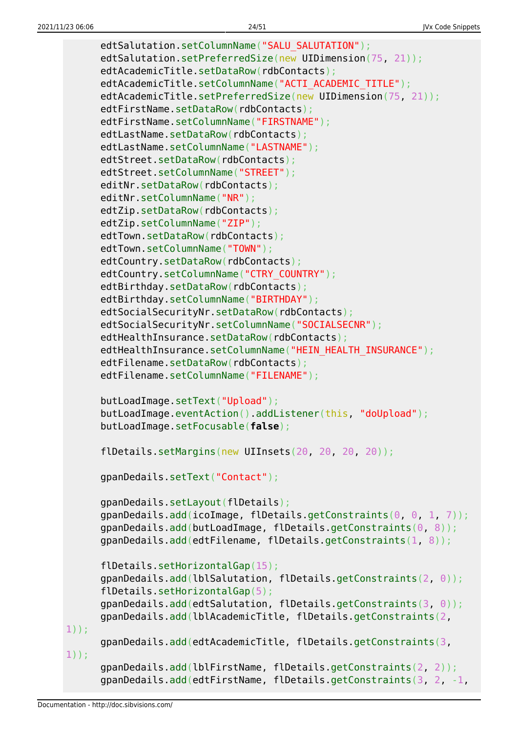```
edtSalutation.setColumnName("SALU_SALUTATION");
      edtSalutation.setPreferredSize(new UIDimension(75, 21));
      edtAcademicTitle.setDataRow(rdbContacts);
      edtAcademicTitle.setColumnName("ACTI_ACADEMIC_TITLE");
      edtAcademicTitle.setPreferredSize(new UIDimension(75, 21));
      edtFirstName.setDataRow(rdbContacts);
       edtFirstName.setColumnName("FIRSTNAME");
      edtLastName.setDataRow(rdbContacts);
      edtLastName.setColumnName("LASTNAME");
       edtStreet.setDataRow(rdbContacts);
       edtStreet.setColumnName("STREET");
      editNr.setDataRow(rdbContacts);
       editNr.setColumnName("NR");
      edtZip.setDataRow(rdbContacts);
       edtZip.setColumnName("ZIP");
      edtTown.setDataRow(rdbContacts):
      edtTown.setColumnName("TOWN");
      edtCountry.setDataRow(rdbContacts);
      edtCountry.setColumnName("CTRY_COUNTRY");
      edtBirthday.setDataRow(rdbContacts);
       edtBirthday.setColumnName("BIRTHDAY");
      edtSocialSecurityNr.setDataRow(rdbContacts);
       edtSocialSecurityNr.setColumnName("SOCIALSECNR");
      edtHealthInsurance.setDataRow(rdbContacts);
       edtHealthInsurance.setColumnName("HEIN_HEALTH_INSURANCE");
       edtFilename.setDataRow(rdbContacts);
       edtFilename.setColumnName("FILENAME");
       butLoadImage.setText("Upload");
       butLoadImage.eventAction().addListener(this, "doUpload");
       butLoadImage.setFocusable(false);
      flDetails.setMargins(new UIInsets(20, 20, 20, 20));
       gpanDedails.setText("Contact");
       gpanDedails.setLayout(flDetails);
       gpanDedails.add(icoImage, flDetails.getConstraints(0, 0, 1, 7));
       gpanDedails.add(butLoadImage, flDetails.getConstraints(0, 8));
       gpanDedails.add(edtFilename, flDetails.getConstraints(1, 8));
       flDetails.setHorizontalGap(15);
       gpanDedails.add(lblSalutation, flDetails.getConstraints(2, 0));
       flDetails.setHorizontalGap(5);
       gpanDedails.add(edtSalutation, flDetails.getConstraints(3, 0));
       gpanDedails.add(lblAcademicTitle, flDetails.getConstraints(2,
1));
       gpanDedails.add(edtAcademicTitle, flDetails.getConstraints(3,
1));
       gpanDedails.add(lblFirstName, flDetails.getConstraints(2, 2));
       gpanDedails.add(edtFirstName, flDetails.getConstraints(3, 2, -1,
```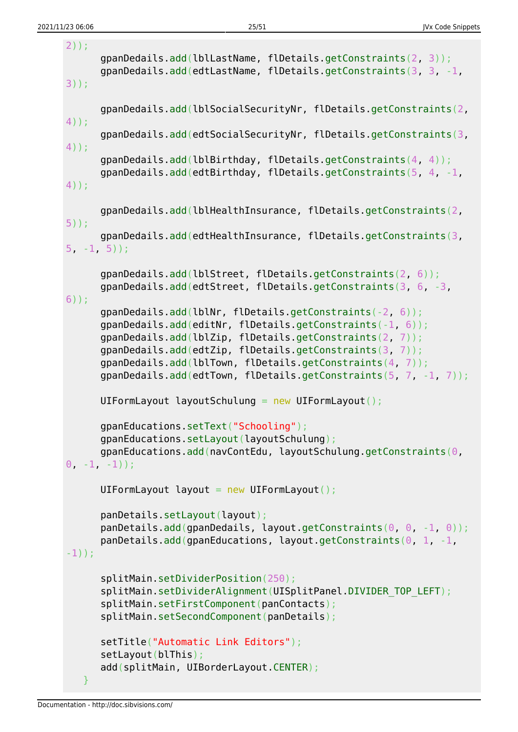```
2));
       gpanDedails.add(lblLastName, flDetails.getConstraints(2, 3));
       gpanDedails.add(edtLastName, flDetails.getConstraints(3, 3, -1,
3));
       gpanDedails.add(lblSocialSecurityNr, flDetails.getConstraints(2,
4));
       gpanDedails.add(edtSocialSecurityNr, flDetails.getConstraints(3,
4));
       gpanDedails.add(lblBirthday, flDetails.getConstraints(4, 4));
       gpanDedails.add(edtBirthday, flDetails.getConstraints(5, 4, -1,
4));
       gpanDedails.add(lblHealthInsurance, flDetails.getConstraints(2,
5));
       gpanDedails.add(edtHealthInsurance, flDetails.getConstraints(3,
5 - 1, 5);
       gpanDedails.add(lblStreet, flDetails.getConstraints(2, 6));
       gpanDedails.add(edtStreet, flDetails.getConstraints(3, 6, -3,
6));
       gpanDedails.add(lblNr, flDetails.getConstraints(-2, 6));
       gpanDedails.add(editNr, flDetails.getConstraints(-1, 6));
       gpanDedails.add(lblZip, flDetails.getConstraints(2, 7));
       gpanDedails.add(edtZip, flDetails.getConstraints(3, 7));
       gpanDedails.add(lblTown, flDetails.getConstraints(4, 7));
       gpanDedails.add(edtTown, flDetails.getConstraints(5, 7, -1, 7));
      UIFormLayout layoutSchulung = new UIFormLayout();
       gpanEducations.setText("Schooling");
       gpanEducations.setLayout(layoutSchulung);
       gpanEducations.add(navContEdu, layoutSchulung.getConstraints(0,
0, -1, -1);
      UIFormLayout layout = new UIFormLayout();
       panDetails.setLayout(layout);
       panDetails.add(gpanDedails, layout.getConstraints(0, 0, -1, 0));
      panDetails.add(gpanEducations, layout.getConstraints(0, 1, -1,-1));
       splitMain.setDividerPosition(250);
      splitMain.setDividerAlignment(UISplitPanel.DIVIDER TOP LEFT);
       splitMain.setFirstComponent(panContacts);
       splitMain.setSecondComponent(panDetails);
       setTitle("Automatic Link Editors");
       setLayout(blThis);
       add(splitMain, UIBorderLayout.CENTER);
    }
```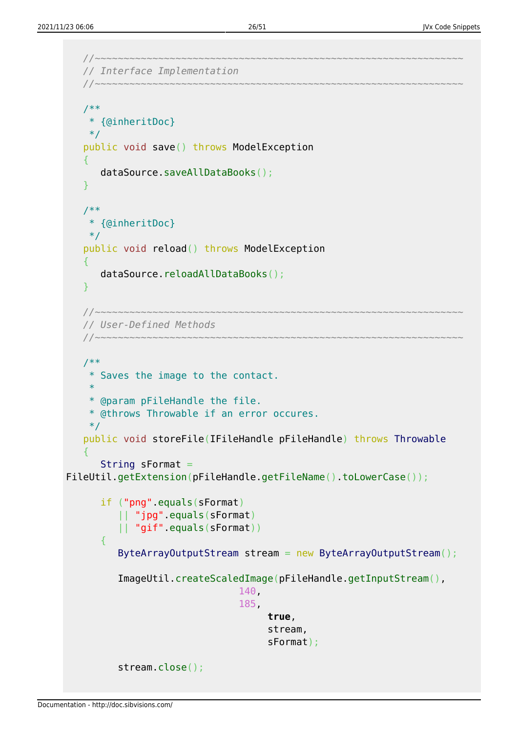```
 //~~~~~~~~~~~~~~~~~~~~~~~~~~~~~~~~~~~~~~~~~~~~~~~~~~~~~~~~~~~~~~~~
    // Interface Implementation
    //~~~~~~~~~~~~~~~~~~~~~~~~~~~~~~~~~~~~~~~~~~~~~~~~~~~~~~~~~~~~~~~~
    /**
     * {@inheritDoc}
     */
    public void save() throws ModelException
    {
        dataSource.saveAllDataBooks();
    }
    /**
     * {@inheritDoc}
     */
    public void reload() throws ModelException
   \left\{ \right. dataSource.reloadAllDataBooks();
    }
    //~~~~~~~~~~~~~~~~~~~~~~~~~~~~~~~~~~~~~~~~~~~~~~~~~~~~~~~~~~~~~~~~
    // User-Defined Methods
    //~~~~~~~~~~~~~~~~~~~~~~~~~~~~~~~~~~~~~~~~~~~~~~~~~~~~~~~~~~~~~~~~
    /**
     * Saves the image to the contact.
     *
     * @param pFileHandle the file.
     * @throws Throwable if an error occures.
     */
    public void storeFile(IFileHandle pFileHandle) throws Throwable
    {
       String sFormat =FileUtil.getExtension(pFileHandle.getFileName().toLowerCase());
        if ("png".equals(sFormat)
           || "jpg".equals(sFormat)
           || "gif".equals(sFormat))
        {
          ByteArrayOutputStream stream = new ByteArrayOutputStream();
           ImageUtil.createScaledImage(pFileHandle.getInputStream(),
                                    140,
                                   185,
                                         true,
                                         stream,
                                         sFormat);
           stream.close();
```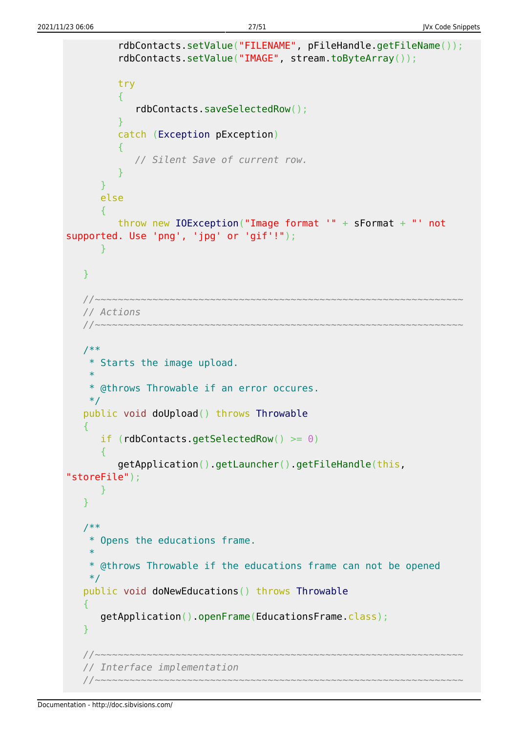```
 rdbContacts.setValue("FILENAME", pFileHandle.getFileName());
           rdbContacts.setValue("IMAGE", stream.toByteArray());
           try
 {
              rdbContacts.saveSelectedRow();
 }
           catch (Exception pException)
 {
              // Silent Save of current row.
 }
       }
       else
\overline{\phantom{a}} throw new IOException("Image format '" + sFormat + "' not
supported. Use 'png', 'jpg' or 'gif'!");
       }
    }
    //~~~~~~~~~~~~~~~~~~~~~~~~~~~~~~~~~~~~~~~~~~~~~~~~~~~~~~~~~~~~~~~~
    // Actions
    //~~~~~~~~~~~~~~~~~~~~~~~~~~~~~~~~~~~~~~~~~~~~~~~~~~~~~~~~~~~~~~~~
    /**
     * Starts the image upload.
 *
     * @throws Throwable if an error occures.
     */
    public void doUpload() throws Throwable
   \mathcal{L}if (rdbContacts.getSelectedRow() >= 0)
      \sqrt{2} getApplication().getLauncher().getFileHandle(this,
"storeFile");
       }
    }
    /**
     * Opens the educations frame.
 *
     * @throws Throwable if the educations frame can not be opened
     */
    public void doNewEducations() throws Throwable
    {
       getApplication().openFrame(EducationsFrame.class);
    }
 //~~~~~~~~~~~~~~~~~~~~~~~~~~~~~~~~~~~~~~~~~~~~~~~~~~~~~~~~~~~~~~~~
    // Interface implementation
                              //~~~~~~~~~~~~~~~~~~~~~~~~~~~~~~~~~~~~~~~~~~~~~~~~~~~~~~~~~~~~~~~~
```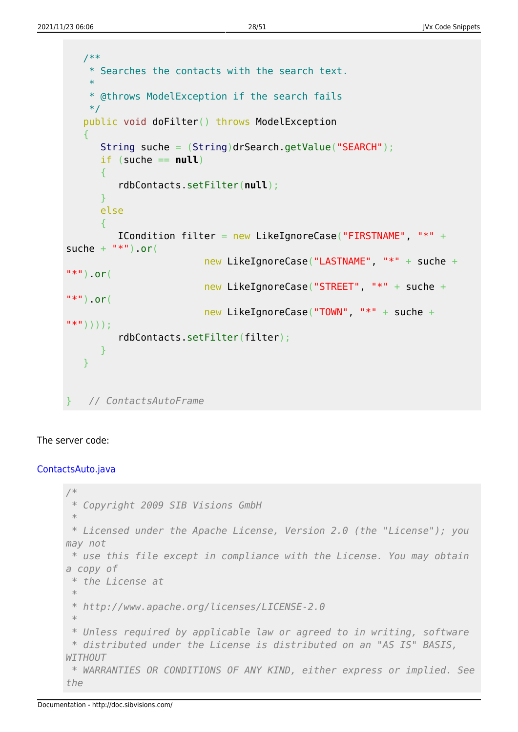```
 /**
     * Searches the contacts with the search text.
 *
     * @throws ModelException if the search fails
     */
    public void doFilter() throws ModelException
   \sqrt{2} String suche = (String)drSearch.getValue("SEARCH");
      if (suche == null)\overline{\phantom{a}} rdbContacts.setFilter(null);
       }
       else
       {
          ICondition filter = new LikeIgnoreCase("FIRSTNAME", "*" +
suche + "*") or(
                           new LikeIgnoreCase("LASTNAME", "*" + suche +
"**").or(
                           new LikeIgnoreCase("STREET", "*" + suche +
"*").or(
                           new LikeIgnoreCase("TOWN", "*" + suche +
"*"))));
          rdbContacts.setFilter(filter);
       }
    }
} // ContactsAutoFrame
```
### The server code:

#### [ContactsAuto.java](http://doc.sibvisions.com/_export/code/jvx/code_snippets?codeblock=25)

```
/*
 * Copyright 2009 SIB Visions GmbH
 *
 * Licensed under the Apache License, Version 2.0 (the "License"); you
may not
 * use this file except in compliance with the License. You may obtain
a copy of
  * the License at
 *
 * http://www.apache.org/licenses/LICENSE-2.0
 *
 * Unless required by applicable law or agreed to in writing, software
 * distributed under the License is distributed on an "AS IS" BASIS,
WITHOUT
 * WARRANTIES OR CONDITIONS OF ANY KIND, either express or implied. See
the
```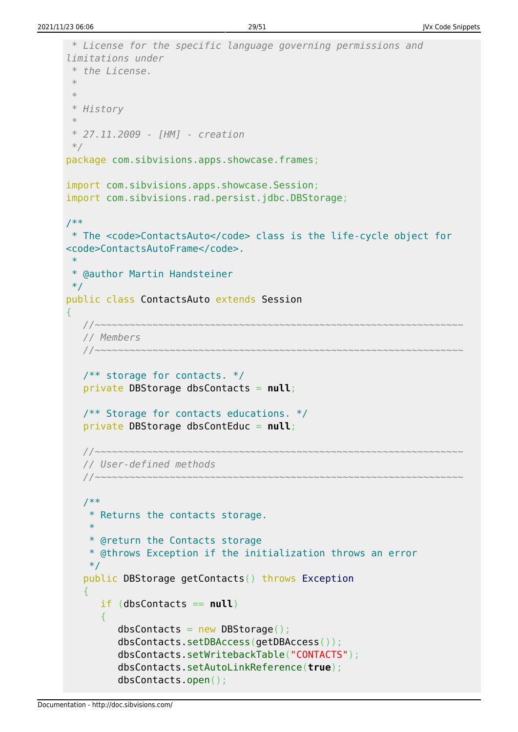```
 * License for the specific language governing permissions and
limitations under
  * the License.
 *
 *
  * History
 *
  * 27.11.2009 - [HM] - creation
  */
package com.sibvisions.apps.showcase.frames;
import com.sibvisions.apps.showcase.Session;
import com.sibvisions.rad.persist.jdbc.DBStorage;
/**
  * The <code>ContactsAuto</code> class is the life-cycle object for
<code>ContactsAutoFrame</code>.
 *
  * @author Martin Handsteiner
  */
public class ContactsAuto extends Session
{
 //~~~~~~~~~~~~~~~~~~~~~~~~~~~~~~~~~~~~~~~~~~~~~~~~~~~~~~~~~~~~~~~~
    // Members
    //~~~~~~~~~~~~~~~~~~~~~~~~~~~~~~~~~~~~~~~~~~~~~~~~~~~~~~~~~~~~~~~~
    /** storage for contacts. */
    private DBStorage dbsContacts = null;
    /** Storage for contacts educations. */
    private DBStorage dbsContEduc = null;
    //~~~~~~~~~~~~~~~~~~~~~~~~~~~~~~~~~~~~~~~~~~~~~~~~~~~~~~~~~~~~~~~~
    // User-defined methods
    //~~~~~~~~~~~~~~~~~~~~~~~~~~~~~~~~~~~~~~~~~~~~~~~~~~~~~~~~~~~~~~~~
    /**
     * Returns the contacts storage.
 *
     * @return the Contacts storage
     * @throws Exception if the initialization throws an error
     */
    public DBStorage getContacts() throws Exception
    {
        if (dbsContacts == null)
\overline{\phantom{a}}dbsContexts = new DBStorage();
           dbsContacts.setDBAccess(getDBAccess());
           dbsContacts.setWritebackTable("CONTACTS");
           dbsContacts.setAutoLinkReference(true);
           dbsContacts.open();
```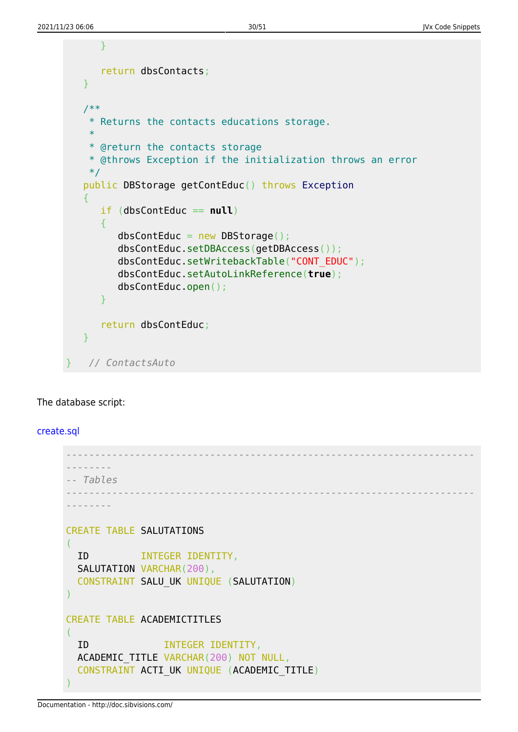```
 }
    return dbsContacts;
 }
 /**
  * Returns the contacts educations storage.
  *
  * @return the contacts storage
  * @throws Exception if the initialization throws an error
 */
 public DBStorage getContEduc() throws Exception
 {
    if (dbsContEduc == null)
    {
      dbsContextEduc = new DBStorage();
       dbsContEduc.setDBAccess(getDBAccess());
       dbsContEduc.setWritebackTable("CONT_EDUC");
       dbsContEduc.setAutoLinkReference(true);
       dbsContEduc.open();
    }
    return dbsContEduc;
 }
} // ContactsAuto
```
#### The database script:

#### [create.sql](http://doc.sibvisions.com/_export/code/jvx/code_snippets?codeblock=26)

```
-----------------------------------------------------------------------
--------
-- Tables
-----------------------------------------------------------------------
--------
CREATE TABLE SALUTATIONS
(
  ID INTEGER IDENTITY,
  SALUTATION VARCHAR(200),
   CONSTRAINT SALU_UK UNIQUE (SALUTATION)
)
CREATE TABLE ACADEMICTITLES
(
   ID INTEGER IDENTITY,
   ACADEMIC_TITLE VARCHAR(200) NOT NULL,
   CONSTRAINT ACTI_UK UNIQUE (ACADEMIC_TITLE)
)
```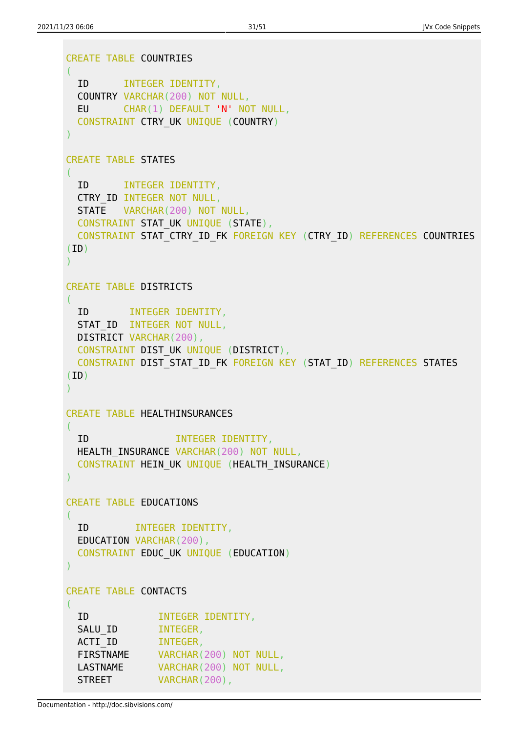```
CREATE TABLE COUNTRIES
(
  ID INTEGER IDENTITY,
  COUNTRY VARCHAR(200) NOT NULL,
  EU CHAR(1) DEFAULT 'N' NOT NULL,
  CONSTRAINT CTRY_UK UNIQUE (COUNTRY)
)
CREATE TABLE STATES
(
  ID INTEGER IDENTITY,
  CTRY_ID INTEGER NOT NULL,
  STATE VARCHAR(200) NOT NULL,
 CONSTRAINT STAT UK UNIQUE (STATE),
 CONSTRAINT STAT CTRY ID FK FOREIGN KEY (CTRY ID) REFERENCES COUNTRIES
(ID))
CREATE TABLE DISTRICTS
\left( ID INTEGER IDENTITY,
 STAT ID INTEGER NOT NULL,
  DISTRICT VARCHAR(200),
  CONSTRAINT DIST_UK UNIQUE (DISTRICT),
 CONSTRAINT DIST STAT ID FK FOREIGN KEY (STAT ID) REFERENCES STATES
(ID)
)
CREATE TABLE HEALTHINSURANCES
(
  ID INTEGER IDENTITY,
 HEALTH_INSURANCE_VARCHAR(200) NOT NULL,
  CONSTRAINT HEIN_UK UNIQUE (HEALTH_INSURANCE)
)
CREATE TABLE EDUCATIONS
(
  ID INTEGER IDENTITY,
  EDUCATION VARCHAR(200),
  CONSTRAINT EDUC_UK UNIQUE (EDUCATION)
)
CREATE TABLE CONTACTS
(
  ID INTEGER IDENTITY,
 SALU ID INTEGER,
 ACTI ID INTEGER,
  FIRSTNAME VARCHAR(200) NOT NULL,
 LASTNAME VARCHAR(200) NOT NULL,
 STREET VARCHAR(200),
```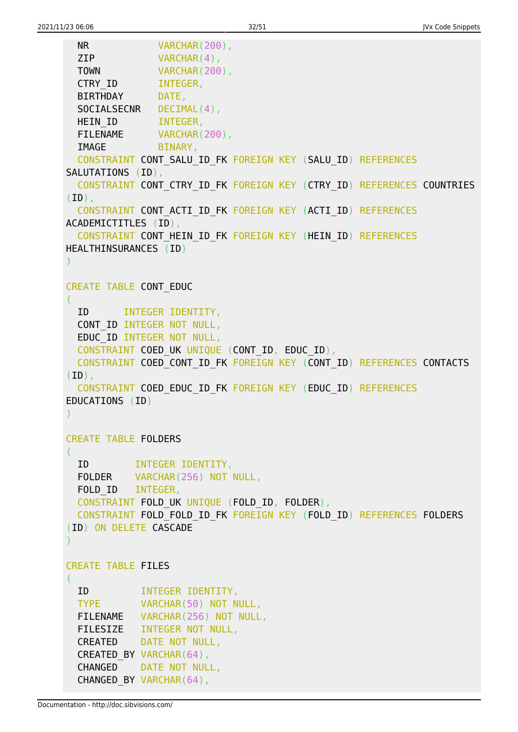```
 NR VARCHAR(200),
  ZIP VARCHAR(4),
 TOWN VARCHAR(200),
 CTRY ID INTEGER,
  BIRTHDAY DATE,
 SOCIALSECNR DECIMAL(4),
 HEIN ID INTEGER,
 FILENAME VARCHAR(200),
 IMAGE BINARY,
  CONSTRAINT CONT_SALU_ID_FK FOREIGN KEY (SALU_ID) REFERENCES
SALUTATIONS (ID),
  CONSTRAINT CONT_CTRY_ID_FK FOREIGN KEY (CTRY_ID) REFERENCES COUNTRIES
(ID),
  CONSTRAINT CONT_ACTI_ID_FK FOREIGN KEY (ACTI_ID) REFERENCES
ACADEMICTITLES (ID),
  CONSTRAINT CONT_HEIN_ID_FK FOREIGN KEY (HEIN_ID) REFERENCES
HEALTHINSURANCES (ID)
)
CREATE TABLE CONT_EDUC
\left( ID INTEGER IDENTITY,
  CONT_ID INTEGER NOT NULL,
  EDUC_ID INTEGER NOT NULL,
  CONSTRAINT COED_UK UNIQUE (CONT_ID, EDUC_ID),
  CONSTRAINT COED_CONT_ID_FK FOREIGN KEY (CONT_ID) REFERENCES CONTACTS
(ID),
  CONSTRAINT COED_EDUC_ID_FK FOREIGN KEY (EDUC_ID) REFERENCES
EDUCATIONS (ID)
\mathcal{L}CREATE TABLE FOLDERS
(
  ID INTEGER IDENTITY,
  FOLDER VARCHAR(256) NOT NULL,
 FOLD ID INTEGER,
  CONSTRAINT FOLD_UK UNIQUE (FOLD_ID, FOLDER),
  CONSTRAINT FOLD_FOLD_ID_FK FOREIGN KEY (FOLD_ID) REFERENCES FOLDERS
(ID) ON DELETE CASCADE
)
CREATE TABLE FILES
(
  ID INTEGER IDENTITY,
  TYPE VARCHAR(50) NOT NULL,
   FILENAME VARCHAR(256) NOT NULL,
   FILESIZE INTEGER NOT NULL,
  CREATED DATE NOT NULL,
 CREATED BY VARCHAR(64),
  CHANGED DATE NOT NULL,
 CHANGED BY VARCHAR(64),
```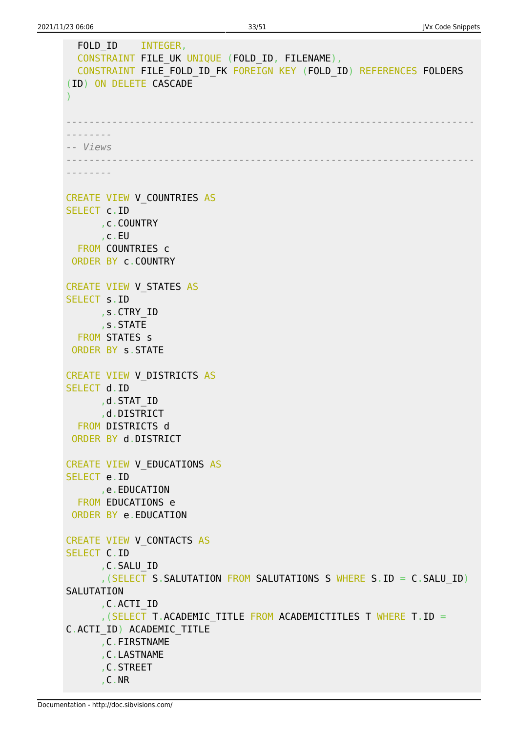```
FOLD ID INTEGER,
  CONSTRAINT FILE UK UNIQUE (FOLD_ID, FILENAME),
  CONSTRAINT FILE FOLD ID FK FOREIGN KEY (FOLD ID) REFERENCES FOLDERS
(ID) ON DELETE CASCADE
)
-----------------------------------------------------------------------
--------
-- Views
-----------------------------------------------------------------------
--------
CREATE VIEW V COUNTRIES AS
SELECT c.ID
      ,c.COUNTRY
       ,c.EU
  FROM COUNTRIES c
ORDER BY c.COUNTRY
CREATE VIEW V_STATES AS
SELECT s.ID
       ,s.CTRY_ID
       ,s.STATE
  FROM STATES s
ORDER BY s.STATE
CREATE VIEW V_DISTRICTS AS
SELECT d.ID
      ,d.STAT_ID
       ,d.DISTRICT
  FROM DISTRICTS d
ORDER BY d.DISTRICT
CREATE VIEW V_EDUCATIONS AS
SELECT e.ID
       ,e.EDUCATION
   FROM EDUCATIONS e
ORDER BY e.EDUCATION
CREATE VIEW V_CONTACTS AS
SELECT C.ID
       ,C.SALU_ID
       ,(SELECT S.SALUTATION FROM SALUTATIONS S WHERE S.ID = C.SALU_ID)
SALUTATION
       ,C.ACTI_ID
       ,(SELECT T.ACADEMIC_TITLE FROM ACADEMICTITLES T WHERE T.ID =
C.ACTI_ID) ACADEMIC_TITLE
       ,C.FIRSTNAME
       ,C.LASTNAME
       ,C.STREET
       ,C.NR
```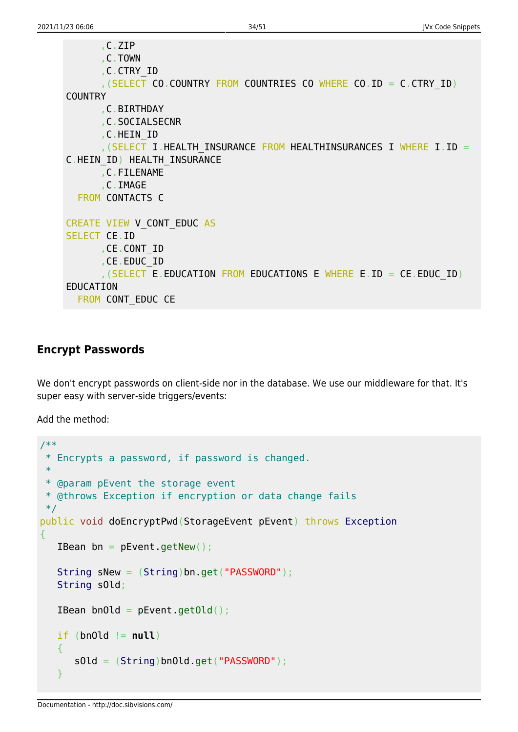```
 ,C.ZIP
       ,C.TOWN
       ,C.CTRY_ID
       ,(SELECT CO.COUNTRY FROM COUNTRIES CO WHERE CO.ID = C.CTRY_ID)
COUNTRY
       ,C.BIRTHDAY
       ,C.SOCIALSECNR
       ,C.HEIN_ID
      , (SELECT I.HEALTH INSURANCE FROM HEALTHINSURANCES I WHERE I.ID =
C.HEIN_ID) HEALTH_INSURANCE
       ,C.FILENAME
       ,C.IMAGE
   FROM CONTACTS C
CREATE VIEW V_CONT_EDUC AS
SELECT CE.ID
       ,CE.CONT_ID
       ,CE.EDUC_ID
      , (SELECT E.EDUCATION FROM EDUCATIONS E WHERE E.ID = CE.EDUCID)
EDUCATION
  FROM CONT EDUC CE
```
### <span id="page-34-0"></span>**Encrypt Passwords**

We don't encrypt passwords on client-side nor in the database. We use our middleware for that. It's super easy with server-side triggers/events:

Add the method:

```
/**
  * Encrypts a password, if password is changed.
 *
 * @param pEvent the storage event
 * @throws Exception if encryption or data change fails
 */
public void doEncryptPwd(StorageEvent pEvent) throws Exception
{
   IBean bn = pEvent.getNew();
    String sNew = (String)bn.get("PASSWORD");
    String sOld;
   IBean bnOld = pEvent.getOld();
  if (bn0ld != null) {
       sOld = (String)bnOld.get("PASSWORD");
    }
```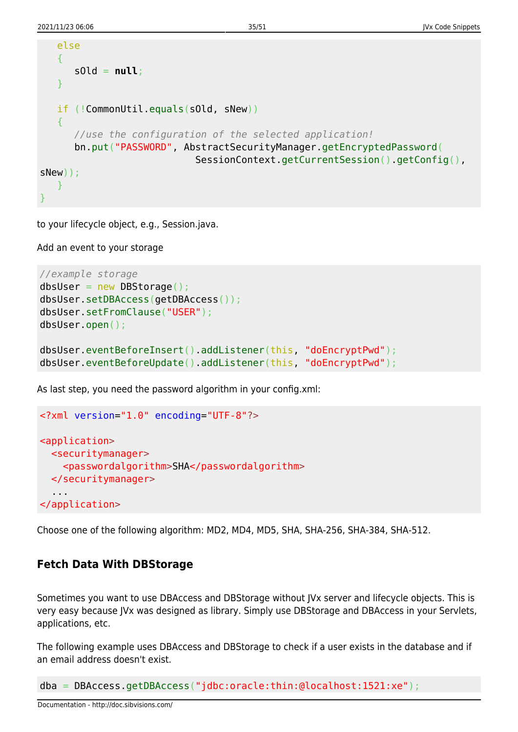```
 else
    {
       sOld = null;
    }
    if (!CommonUtil.equals(sOld, sNew))
    {
       //use the configuration of the selected application!
       bn.put("PASSWORD", AbstractSecurityManager.getEncryptedPassword(
                              SessionContext.getCurrentSession().getConfig(),
sNew));
    }
}
```
to your lifecycle object, e.g., Session.java.

Add an event to your storage

```
//example storage
dbsUser = new DBStorage();
dbsUser.setDBAccess(getDBAccess());
dbsUser.setFromClause("USER");
dbsUser.open();
dbsUser.eventBeforeInsert().addListener(this, "doEncryptPwd");
dbsUser.eventBeforeUpdate().addListener(this, "doEncryptPwd");
```
As last step, you need the password algorithm in your config.xml:

```
<?xml version="1.0" encoding="UTF-8"?>
<application>
   <securitymanager>
     <passwordalgorithm>SHA</passwordalgorithm>
  </securitymanager>
   ...
</application>
```
Choose one of the following algorithm: MD2, MD4, MD5, SHA, SHA-256, SHA-384, SHA-512.

## <span id="page-35-0"></span>**Fetch Data With DBStorage**

Sometimes you want to use DBAccess and DBStorage without JVx server and lifecycle objects. This is very easy because JVx was designed as library. Simply use DBStorage and DBAccess in your Servlets, applications, etc.

The following example uses DBAccess and DBStorage to check if a user exists in the database and if an email address doesn't exist.

dba = DBAccess.getDBAccess("jdbc:oracle:thin:@localhost:1521:xe");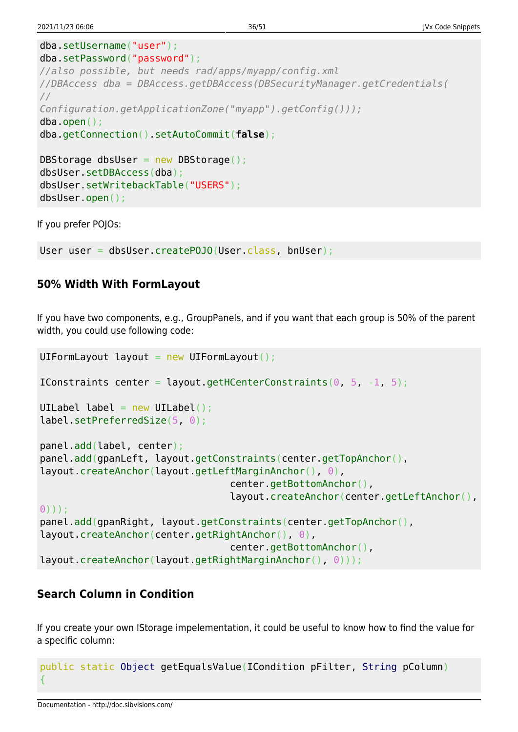```
dba.setUsername("user");
dba.setPassword("password");
//also possible, but needs rad/apps/myapp/config.xml
//DBAccess dba = DBAccess.getDBAccess(DBSecurityManager.getCredentials(
//
Configuration.getApplicationZone("myapp").getConfig()));
dba.open();
dba.getConnection().setAutoCommit(false);
DBStorage dbsUser = new DBStorage();
dbsUser.setDBAccess(dba);
dbsUser.setWritebackTable("USERS");
dbsUser.open();
```
If you prefer POJOs:

User user = dbsUser.createPOJO(User.class, bnUser);

## <span id="page-36-0"></span>**50% Width With FormLayout**

If you have two components, e.g., GroupPanels, and if you want that each group is 50% of the parent width, you could use following code:

```
UIFormLayout layout = new UIFormLayout();
IConstraints center = layout.getHCenterConstraints(0, 5, -1, 5);
UILabel label = new UILabel();
label.setPreferredSize(5, 0);
panel.add(label, center);
panel.add(gpanLeft, layout.getConstraints(center.getTopAnchor(),
layout.createAnchor(layout.getLeftMarginAnchor(), 0),
                                  center.getBottomAnchor(),
                                  layout.createAnchor(center.getLeftAnchor(),
0)));
panel.add(gpanRight, layout.getConstraints(center.getTopAnchor(),
layout.createAnchor(center.getRightAnchor(), 0),
                                  center.getBottomAnchor(),
layout.createAnchor(layout.getRightMarginAnchor(), 0)));
```
# <span id="page-36-1"></span>**Search Column in Condition**

If you create your own IStorage impelementation, it could be useful to know how to find the value for a specific column:

```
public static Object getEqualsValue(ICondition pFilter, String pColumn)
{
```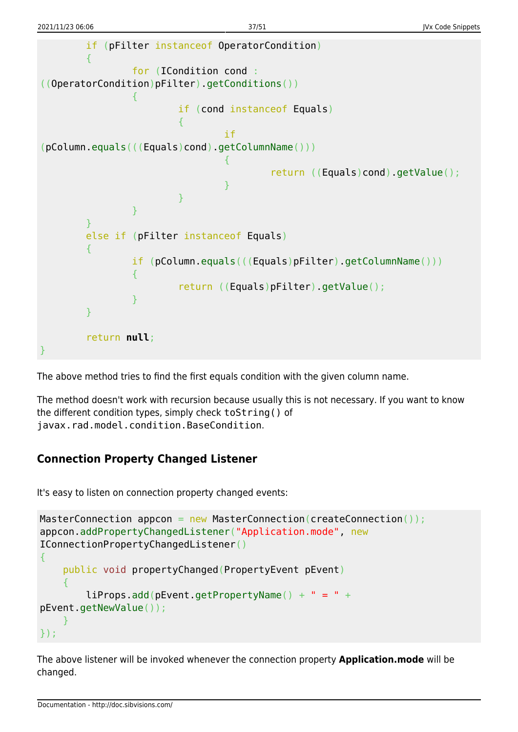```
 if (pFilter instanceof OperatorCondition)
 {
                        for (ICondition cond :
((OperatorCondition)pFilter).getConditions())
 {
                                    if (cond instanceof Equals)
\{in the contract of the contract of the contract of \mathbf{if}(pColumn.equals(((Equals)cond).getColumnName()))
{ } return ((Equals)cond).getValue();
denotes the contract of the contract of the contract of the contract of the contract of the contract of the con
denotes the contract of the contract of the second property of the contract of the second property of the second
and the state of the state of the state of the state of the state of the state of the state of the state of the
 }
            else if (pFilter instanceof Equals)
 {
                        if (pColumn.equals(((Equals)pFilter).getColumnName()))
 {
                                    return ((Equals)pFilter).getValue();
and the state of the state of the state of the state of the state of the state of the state of the state of the
 }
            return null;
}
```
The above method tries to find the first equals condition with the given column name.

The method doesn't work with recursion because usually this is not necessary. If you want to know the different condition types, simply check toString() of javax.rad.model.condition.BaseCondition.

## <span id="page-37-0"></span>**Connection Property Changed Listener**

It's easy to listen on connection property changed events:

```
MasterConnection appcon = new MasterConnection(createConnection());
appcon.addPropertyChangedListener("Application.mode", new
IConnectionPropertyChangedListener()
{
     public void propertyChanged(PropertyEvent pEvent)
\overline{\phantom{a}}liprons.add(bEvent.getPropertyName() + " = " +pEvent.getNewValue());
\qquad \qquad \}});
```
The above listener will be invoked whenever the connection property **Application.mode** will be changed.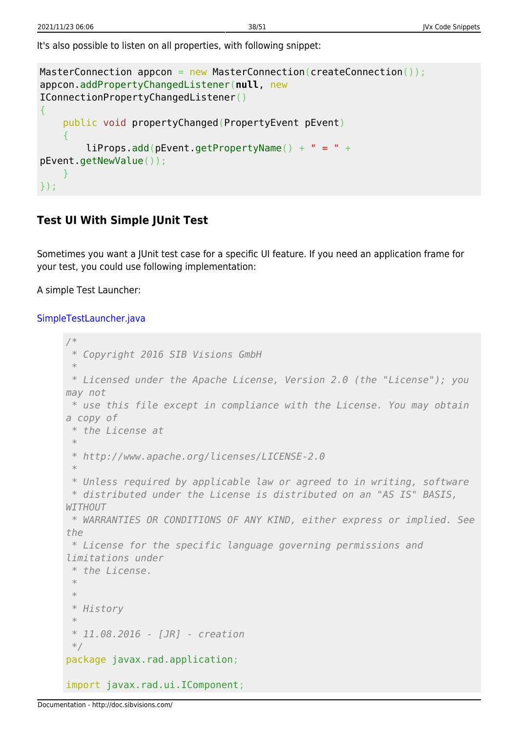It's also possible to listen on all properties, with following snippet:

```
MasterConnection appcon = new MasterConnection(createConnection());
appcon.addPropertyChangedListener(null, new
IConnectionPropertyChangedListener()
{
     public void propertyChanged(PropertyEvent pEvent)
\overline{\phantom{a}}liprons.add(bEvent.getPropertyName() + " = " +pEvent.getNewValue());
     }
});
```
# <span id="page-38-0"></span>**Test UI With Simple JUnit Test**

Sometimes you want a JUnit test case for a specific UI feature. If you need an application frame for your test, you could use following implementation:

A simple Test Launcher:

### [SimpleTestLauncher.java](http://doc.sibvisions.com/_export/code/jvx/code_snippets?codeblock=36)

```
/*
 * Copyright 2016 SIB Visions GmbH
 *
 * Licensed under the Apache License, Version 2.0 (the "License"); you
may not
 * use this file except in compliance with the License. You may obtain
a copy of
 * the License at
 *
 * http://www.apache.org/licenses/LICENSE-2.0
 *
  * Unless required by applicable law or agreed to in writing, software
 * distributed under the License is distributed on an "AS IS" BASIS,
WITHOUT
 * WARRANTIES OR CONDITIONS OF ANY KIND, either express or implied. See
the
 * License for the specific language governing permissions and
limitations under
 * the License.
  *
 *
  * History
 *
  * 11.08.2016 - [JR] - creation
 */
package javax.rad.application;
import javax.rad.ui.IComponent;
```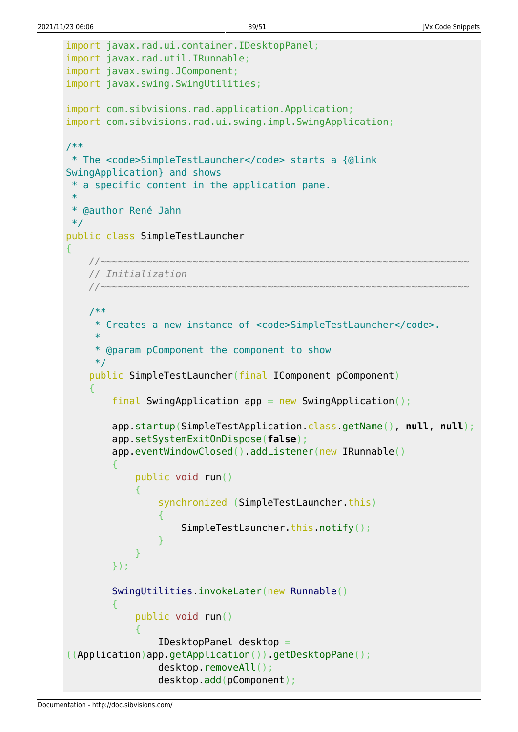```
import javax.rad.ui.container.IDesktopPanel;
import javax.rad.util.IRunnable;
import javax.swing.JComponent;
import javax.swing.SwingUtilities;
import com.sibvisions.rad.application.Application;
import com.sibvisions.rad.ui.swing.impl.SwingApplication;
/**
  * The <code>SimpleTestLauncher</code> starts a {@link
SwingApplication} and shows
  * a specific content in the application pane.
  *
  * @author René Jahn
 */
public class SimpleTestLauncher
{
     //~~~~~~~~~~~~~~~~~~~~~~~~~~~~~~~~~~~~~~~~~~~~~~~~~~~~~~~~~~~~~~~~
     // Initialization
 //~~~~~~~~~~~~~~~~~~~~~~~~~~~~~~~~~~~~~~~~~~~~~~~~~~~~~~~~~~~~~~~~
     /**
      * Creates a new instance of <code>SimpleTestLauncher</code>.
 *
      * @param pComponent the component to show
      */
     public SimpleTestLauncher(final IComponent pComponent)
     {
        final SwingApplication app = new SwingApplication();
         app.startup(SimpleTestApplication.class.getName(), null, null);
         app.setSystemExitOnDispose(false);
         app.eventWindowClosed().addListener(new IRunnable()
 {
              public void run()
\{synchronized (SimpleTestLauncher.this)
\{x_1, x_2, \ldots, x_n\}SimpleTestLauncher.this.notify();
and the state of the state of the state of the state of the state of the state of the state of the state of the
 }
         });
         SwingUtilities.invokeLater(new Runnable()
 {
              public void run()
\{ IDesktopPanel desktop =
((Application)app.getApplication()).getDesktopPane();
                  desktop.removeAll();
                  desktop.add(pComponent);
```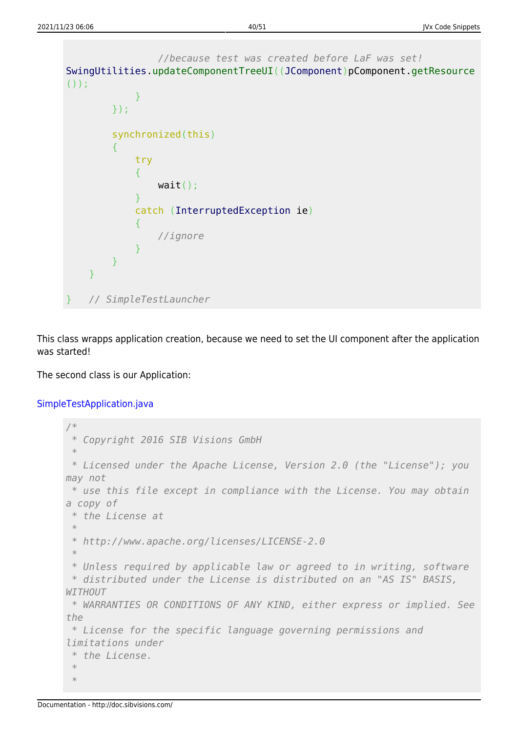```
 //because test was created before LaF was set!
SwingUtilities.updateComponentTreeUI((JComponent)pComponent.getResource
() ) ;
 }
        });
        synchronized(this)
 {
           try
\{ wait();
 }
           catch (InterruptedException ie)
\{ //ignore
 }
        }
    }
   } // SimpleTestLauncher
```
This class wrapps application creation, because we need to set the UI component after the application was started!

The second class is our Application:

[SimpleTestApplication.java](http://doc.sibvisions.com/_export/code/jvx/code_snippets?codeblock=37)

```
/*
 * Copyright 2016 SIB Visions GmbH
 *
 * Licensed under the Apache License, Version 2.0 (the "License"); you
may not
 * use this file except in compliance with the License. You may obtain
a copy of
 * the License at
  *
 * http://www.apache.org/licenses/LICENSE-2.0
 *
 * Unless required by applicable law or agreed to in writing, software
 * distributed under the License is distributed on an "AS IS" BASIS,
WITHOUT
 * WARRANTIES OR CONDITIONS OF ANY KIND, either express or implied. See
the
 * License for the specific language governing permissions and
limitations under
  * the License.
  *
  *
```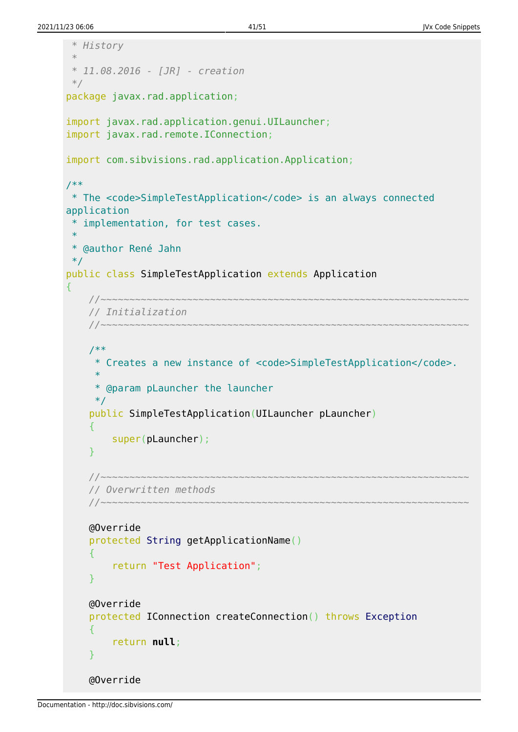```
 * History
 *
 * 11.08.2016 - [JR] - creation
 */
package javax.rad.application;
import javax.rad.application.genui.UILauncher;
import javax.rad.remote.IConnection;
import com.sibvisions.rad.application.Application;
/**
 * The <code>SimpleTestApplication</code> is an always connected
application
 * implementation, for test cases.
 *
 * @author René Jahn
 */
public class SimpleTestApplication extends Application
{
     //~~~~~~~~~~~~~~~~~~~~~~~~~~~~~~~~~~~~~~~~~~~~~~~~~~~~~~~~~~~~~~~~
     // Initialization
     //~~~~~~~~~~~~~~~~~~~~~~~~~~~~~~~~~~~~~~~~~~~~~~~~~~~~~~~~~~~~~~~~
     /**
      * Creates a new instance of <code>SimpleTestApplication</code>.
 *
      * @param pLauncher the launcher
      */
     public SimpleTestApplication(UILauncher pLauncher)
    \left\{ \right. super(pLauncher);
     }
     //~~~~~~~~~~~~~~~~~~~~~~~~~~~~~~~~~~~~~~~~~~~~~~~~~~~~~~~~~~~~~~~~
     // Overwritten methods
     //~~~~~~~~~~~~~~~~~~~~~~~~~~~~~~~~~~~~~~~~~~~~~~~~~~~~~~~~~~~~~~~~
     @Override
     protected String getApplicationName()
     {
         return "Test Application";
     }
     @Override
     protected IConnection createConnection() throws Exception
     {
         return null;
     }
     @Override
```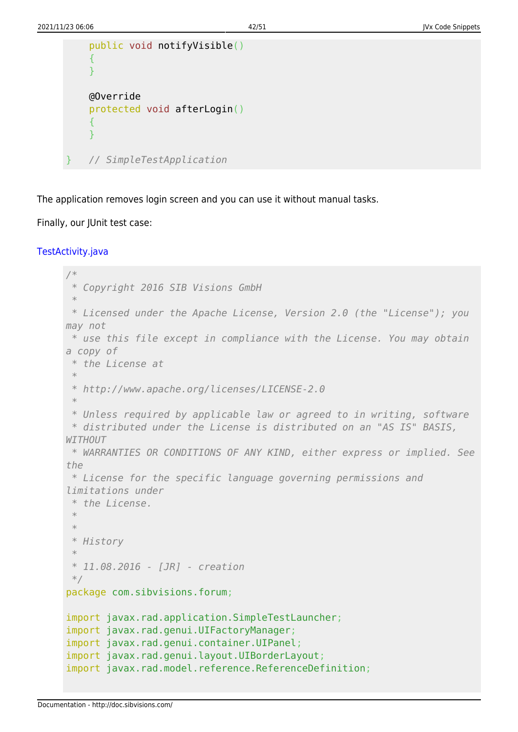```
 public void notifyVisible()
 {
 }
 @Override
 protected void afterLogin()
 {
 }
} // SimpleTestApplication
```
The application removes login screen and you can use it without manual tasks.

#### Finally, our JUnit test case:

#### [TestActivity.java](http://doc.sibvisions.com/_export/code/jvx/code_snippets?codeblock=38)

```
/*
 * Copyright 2016 SIB Visions GmbH
 *
 * Licensed under the Apache License, Version 2.0 (the "License"); you
may not
 * use this file except in compliance with the License. You may obtain
a copy of
 * the License at
 *
 * http://www.apache.org/licenses/LICENSE-2.0
 *
  * Unless required by applicable law or agreed to in writing, software
 * distributed under the License is distributed on an "AS IS" BASIS,
WITHOUT
 * WARRANTIES OR CONDITIONS OF ANY KIND, either express or implied. See
the
 * License for the specific language governing permissions and
limitations under
  * the License.
 *
 *
  * History
  *
  * 11.08.2016 - [JR] - creation
  */
package com.sibvisions.forum;
import javax.rad.application.SimpleTestLauncher;
import javax.rad.genui.UIFactoryManager;
import javax.rad.genui.container.UIPanel;
import javax.rad.genui.layout.UIBorderLayout;
import javax.rad.model.reference.ReferenceDefinition;
```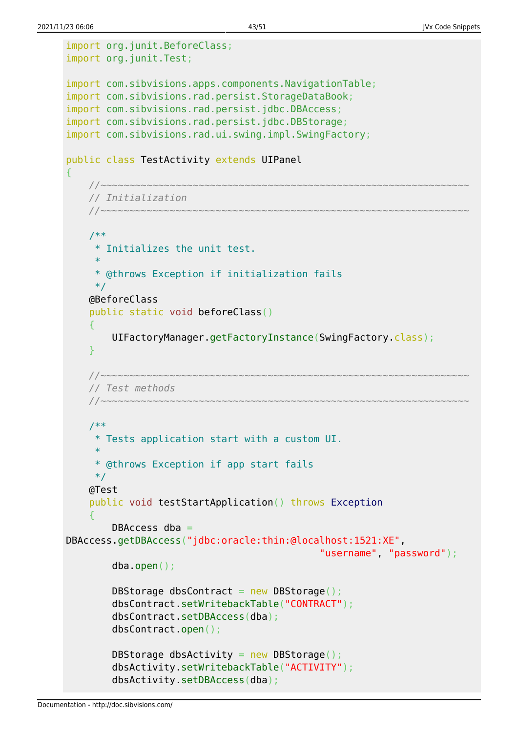```
import org.junit.BeforeClass;
import org.junit.Test;
import com.sibvisions.apps.components.NavigationTable;
import com.sibvisions.rad.persist.StorageDataBook;
import com.sibvisions.rad.persist.jdbc.DBAccess;
import com.sibvisions.rad.persist.jdbc.DBStorage;
import com.sibvisions.rad.ui.swing.impl.SwingFactory;
public class TestActivity extends UIPanel
₹.
     //~~~~~~~~~~~~~~~~~~~~~~~~~~~~~~~~~~~~~~~~~~~~~~~~~~~~~~~~~~~~~~~~
     // Initialization
     //~~~~~~~~~~~~~~~~~~~~~~~~~~~~~~~~~~~~~~~~~~~~~~~~~~~~~~~~~~~~~~~~
     /**
      * Initializes the unit test.
 *
      * @throws Exception if initialization fails
      */
     @BeforeClass
     public static void beforeClass()
     {
          UIFactoryManager.getFactoryInstance(SwingFactory.class);
     }
     //~~~~~~~~~~~~~~~~~~~~~~~~~~~~~~~~~~~~~~~~~~~~~~~~~~~~~~~~~~~~~~~~
     // Test methods
     //~~~~~~~~~~~~~~~~~~~~~~~~~~~~~~~~~~~~~~~~~~~~~~~~~~~~~~~~~~~~~~~~
     /**
      * Tests application start with a custom UI.
 *
      * @throws Exception if app start fails
      */
     @Test
     public void testStartApplication() throws Exception
\overline{\phantom{a}}DBAccess dba =DBAccess.getDBAccess("jdbc:oracle:thin:@localhost:1521:XE",
                                                    "username", "password");
          dba.open();
         DBStorage dbsContract = new DBStorage();
          dbsContract.setWritebackTable("CONTRACT");
          dbsContract.setDBAccess(dba);
          dbsContract.open();
         DBStorage dbsActivity = new DBStorage();
          dbsActivity.setWritebackTable("ACTIVITY");
          dbsActivity.setDBAccess(dba);
```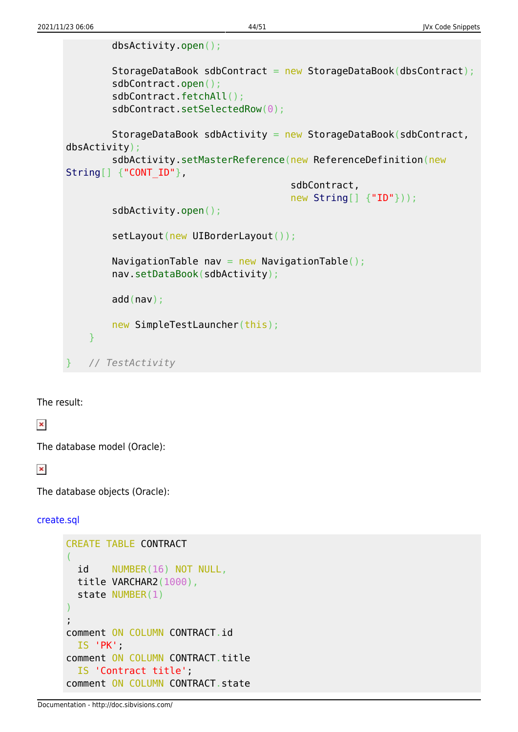dbsActivity.open();

```
StorageDataBook sdbContract = new StorageDataBook(dbsContract);
         sdbContract.open();
         sdbContract.fetchAll();
        sdbContract.setSelectedRow(0);
        StorageDataBook sdbActivity = new StorageDataBook(sdbContract,
dbsActivity);
        sdbActivity.setMasterReference(new ReferenceDefinition(new
String[] {"CONT ID"},
                                         sdbContract,
                                         new String[] {"ID"}));
         sdbActivity.open();
        setLayout(new UIBorderLayout());
        NavigationTable nav = new NavigationTable();
         nav.setDataBook(sdbActivity);
         add(nav);
        new SimpleTestLauncher(this);
     }
    } // TestActivity
```
The result:

 $\pmb{\times}$ 

The database model (Oracle):

 $\pmb{\times}$ 

The database objects (Oracle):

[create.sql](http://doc.sibvisions.com/_export/code/jvx/code_snippets?codeblock=39)

```
CREATE TABLE CONTRACT
(
   id NUMBER(16) NOT NULL,
  title VARCHAR2(1000),
   state NUMBER(1)
)
;
comment ON COLUMN CONTRACT.id
   IS 'PK';
comment ON COLUMN CONTRACT.title
   IS 'Contract title';
comment ON COLUMN CONTRACT.state
```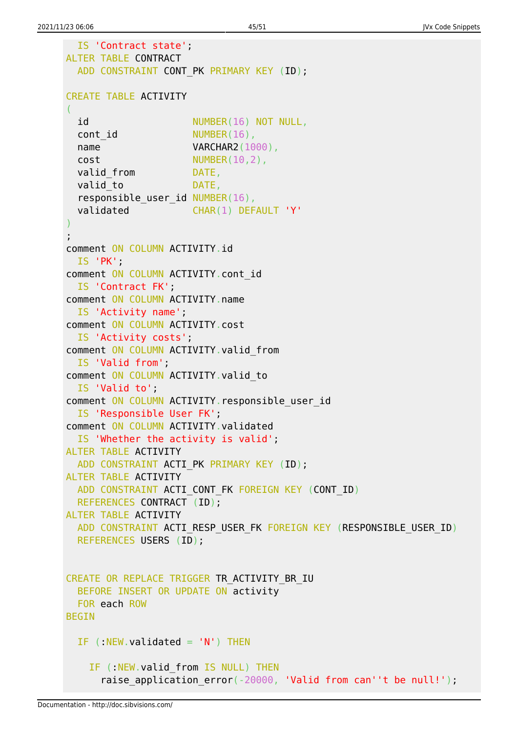```
 IS 'Contract state';
ALTER TABLE CONTRACT
 ADD CONSTRAINT CONT PK PRIMARY KEY (ID);
CREATE TABLE ACTIVITY
(
 id NUMBER(16) NOT NULL,
 cont id NUMBER(16),
 name VARCHAR2(1000),
 cost NUMBER(10,2),
 valid from DATE,
 valid to DATE,
 responsible user id NUMBER(16),
  validated CHAR(1) DEFAULT 'Y'
)
;
comment ON COLUMN ACTIVITY.id
  IS 'PK';
comment ON COLUMN ACTIVITY.cont_id
  IS 'Contract FK';
comment ON COLUMN ACTIVITY.name
  IS 'Activity name';
comment ON COLUMN ACTIVITY.cost
  IS 'Activity costs';
comment ON COLUMN ACTIVITY.valid_from
  IS 'Valid from';
comment ON COLUMN ACTIVITY. valid to
  IS 'Valid to';
comment ON COLUMN ACTIVITY. responsible user id
   IS 'Responsible User FK';
comment ON COLUMN ACTIVITY.validated
  IS 'Whether the activity is valid';
ALTER TABLE ACTIVITY
 ADD CONSTRAINT ACTI PK PRIMARY KEY (ID);
ALTER TABLE ACTIVITY
 ADD CONSTRAINT ACTI CONT FK FOREIGN KEY (CONT ID)
  REFERENCES CONTRACT (ID);
ALTER TABLE ACTIVITY
 ADD CONSTRAINT ACTI RESP USER FK FOREIGN KEY (RESPONSIBLE USER ID)
  REFERENCES USERS (ID);
CREATE OR REPLACE TRIGGER TR ACTIVITY BR IU
  BEFORE INSERT OR UPDATE ON activity
  FOR each ROW
BEGIN
 IF (NEW.validated = 'N') THEN
   IF (:NEW.valid from IS NULL) THEN
     raise application error(-20000, 'Valid from can''t be null!');
```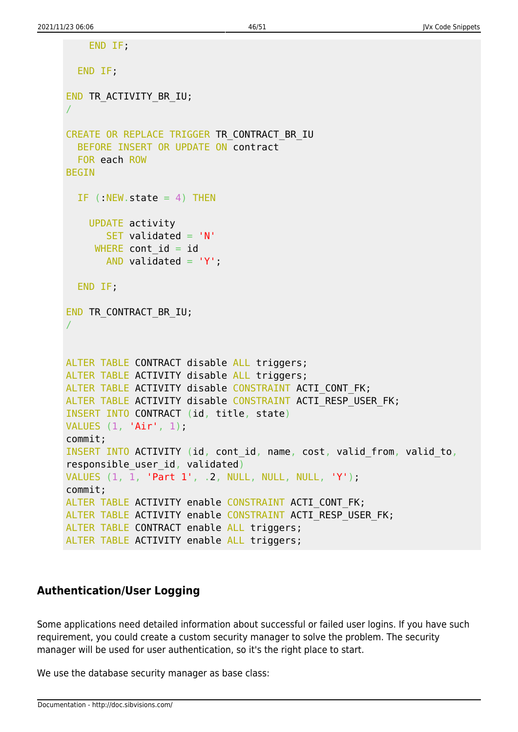```
 END IF;
   END IF;
END TR ACTIVITY BR IU;
/
CREATE OR REPLACE TRIGGER TR_CONTRACT_BR_IU
   BEFORE INSERT OR UPDATE ON contract
   FOR each ROW
BEGIN
 IF (NEW.state = 4) THEN
     UPDATE activity
       SET validated = 'N'WHERE cont id = idAND validated = 'Y';
   END IF;
END TR CONTRACT BR IU;
/
ALTER TABLE CONTRACT disable ALL triggers;
ALTER TABLE ACTIVITY disable ALL triggers;
ALTER TABLE ACTIVITY disable CONSTRAINT ACTI CONT FK;
ALTER TABLE ACTIVITY disable CONSTRAINT ACTI RESP USER FK;
INSERT INTO CONTRACT (id, title, state)
VALUES (1, 'Air', 1);
commit;
INSERT INTO ACTIVITY (id, cont_id, name, cost, valid_from, valid_to,
responsible user id, validated)
VALUES (1, 1, 'Part 1', .2, NULL, NULL, NULL, 'Y');
commit;
ALTER TABLE ACTIVITY enable CONSTRAINT ACTI CONT FK;
ALTER TABLE ACTIVITY enable CONSTRAINT ACTI RESP USER FK;
ALTER TABLE CONTRACT enable ALL triggers;
ALTER TABLE ACTIVITY enable ALL triggers;
```
# <span id="page-46-0"></span>**Authentication/User Logging**

Some applications need detailed information about successful or failed user logins. If you have such requirement, you could create a custom security manager to solve the problem. The security manager will be used for user authentication, so it's the right place to start.

We use the database security manager as base class: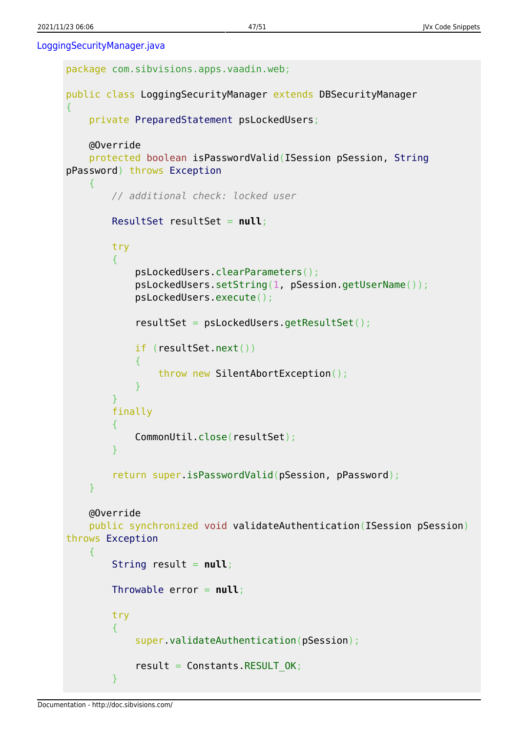[LoggingSecurityManager.java](http://doc.sibvisions.com/_export/code/jvx/code_snippets?codeblock=40)

```
package com.sibvisions.apps.vaadin.web;
public class LoggingSecurityManager extends DBSecurityManager
{
    private PreparedStatement psLockedUsers;
    @Override
    protected boolean isPasswordValid(ISession pSession, String
pPassword) throws Exception
     {
        // additional check: locked user
        ResultSet resultSet = null;
         try
         {
             psLockedUsers.clearParameters();
             psLockedUsers.setString(1, pSession.getUserName());
             psLockedUsers.execute();
             resultSet = psLockedUsers.getResultSet();
             if (resultSet.next())
\{ throw new SilentAbortException();
 }
 }
        finally
 {
             CommonUtil.close(resultSet);
 }
         return super.isPasswordValid(pSession, pPassword);
     }
    @Override
    public synchronized void validateAuthentication(ISession pSession)
throws Exception
     {
         String result = null;
        Throwable error = null;
        try
         {
             super.validateAuthentication(pSession);
            result = Constants.RESULT OK;
 }
```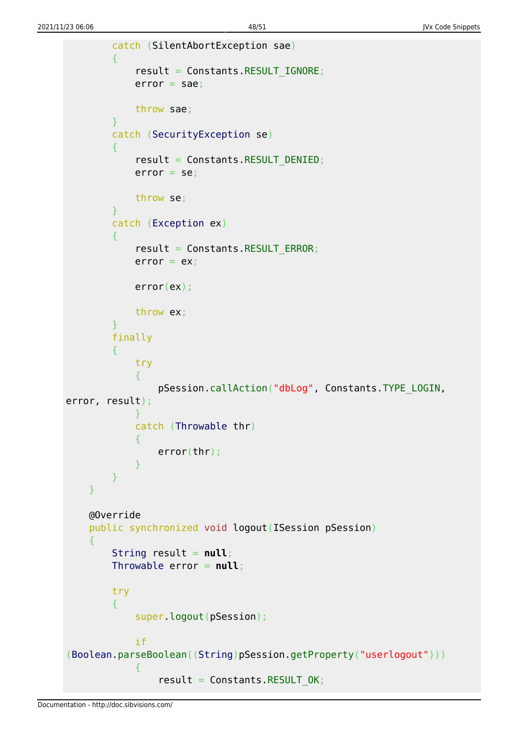```
 catch (SilentAbortException sae)
 {
            result = Constants.RESULT_IGNORE;
           error = sae; throw sae;
 }
        catch (SecurityException se)
       \mathcal{A}result = Constants.RESULT DENIED;
           error = se; throw se;
 }
        catch (Exception ex)
 {
           result = Constants.RESULT ERROR;
           error = ex;
            error(ex);
            throw ex;
        }
        finally
 {
            try
\{ pSession.callAction("dbLog", Constants.TYPE_LOGIN,
error, result);
 }
            catch (Throwable thr)
\{ error(thr);
 }
        }
    }
    @Override
    public synchronized void logout(ISession pSession)
    {
        String result = null;
        Throwable error = null;
        try
 {
            super.logout(pSession);
            if
(Boolean.parseBoolean((String)pSession.getProperty("userlogout")))
\{result = Constants.RESULT OK;
```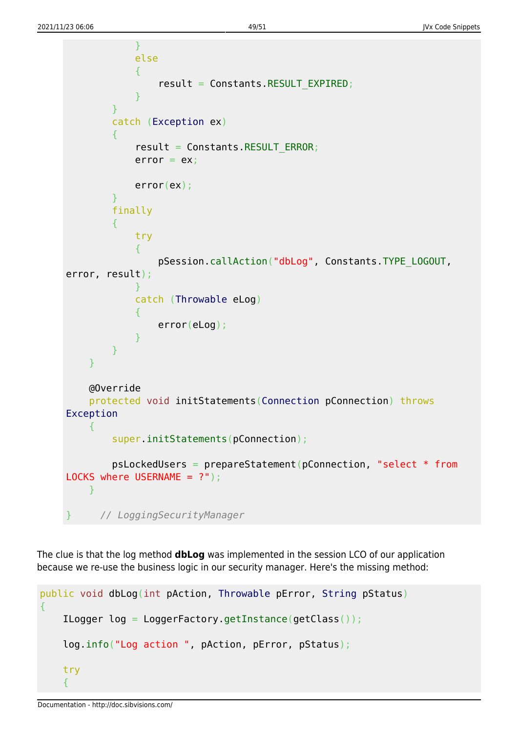```
 }
            else
\{result = Constants.RESULT EXPIRED;
 }
        }
        catch (Exception ex)
        {
           result = Constants.RESULT ERROR;
           error = ex; error(ex);
        }
        finally
        {
            try
\{ pSession.callAction("dbLog", Constants.TYPE_LOGOUT,
error, result);
 }
            catch (Throwable eLog)
\{ error(eLog);
 }
        }
    }
    @Override
    protected void initStatements(Connection pConnection) throws
Exception
\overline{\phantom{a}} super.initStatements(pConnection);
        psLockedUsers = prepareStatement(pConnection, "select * from
LOCKS where USERNAME = ?");
    }
     } // LoggingSecurityManager
```
The clue is that the log method **dbLog** was implemented in the session LCO of our application because we re-use the business logic in our security manager. Here's the missing method:

```
public void dbLog(int pAction, Throwable pError, String pStatus)
{
     ILogger log = LoggerFactory.getInstance(getClass());
     log.info("Log action ", pAction, pError, pStatus);
     try
\overline{\phantom{a}}
```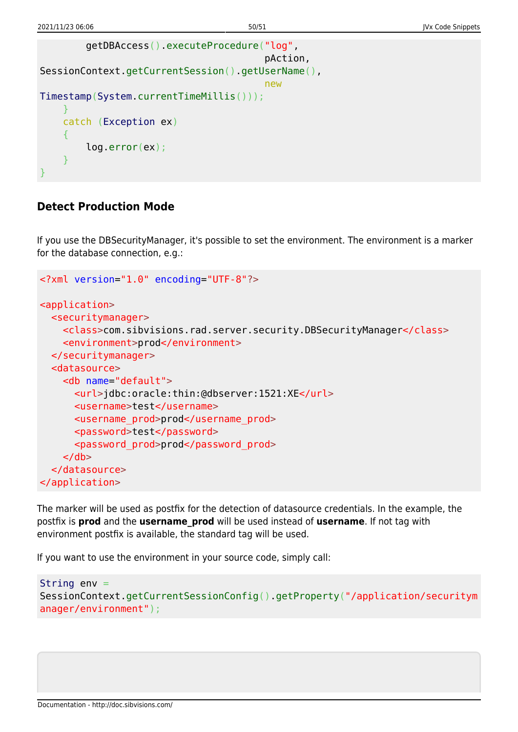```
 getDBAccess().executeProcedure("log",
                                                                          pAction,
SessionContext.getCurrentSession().getUserName(),
new the contract of the contract of the contract of the contract of the contract of the contract of the contract of the contract of the contract of the contract of the contract of the contract of the contract of the contra
Timestamp(System.currentTimeMillis()));
        }
        catch (Exception ex)
        {
                log.error(ex);
 }
}
```
### <span id="page-50-0"></span>**Detect Production Mode**

If you use the DBSecurityManager, it's possible to set the environment. The environment is a marker for the database connection, e.g.:

```
<?xml version="1.0" encoding="UTF-8"?>
<application>
   <securitymanager>
     <class>com.sibvisions.rad.server.security.DBSecurityManager</class>
     <environment>prod</environment>
   </securitymanager>
   <datasource>
     <db name="default">
       <url>jdbc:oracle:thin:@dbserver:1521:XE</url>
       <username>test</username>
       <username_prod>prod</username_prod>
       <password>test</password>
       <password_prod>prod</password_prod>
    \langledb\rangle </datasource>
</application>
```
The marker will be used as postfix for the detection of datasource credentials. In the example, the postfix is **prod** and the **username\_prod** will be used instead of **username**. If not tag with environment postfix is available, the standard tag will be used.

If you want to use the environment in your source code, simply call:

```
String env =
SessionContext.getCurrentSessionConfig().getProperty("/application/securitym
anager/environment");
```